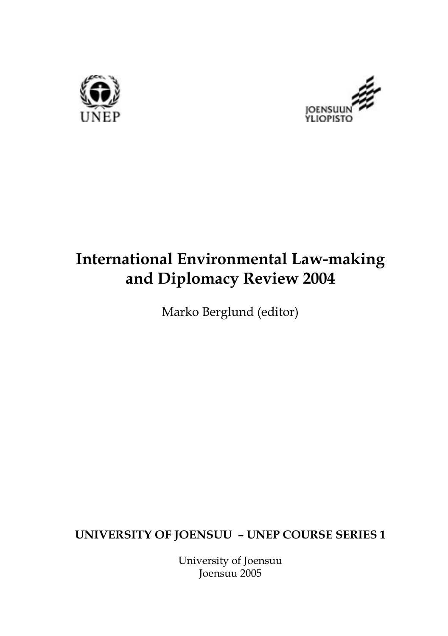



# **International Environmental Law-making and Diplomacy Review 2004**

Marko Berglund (editor)

**UNIVERSITY OF JOENSUU – UNEP COURSE SERIES 1**

University of Joensuu Joensuu 2005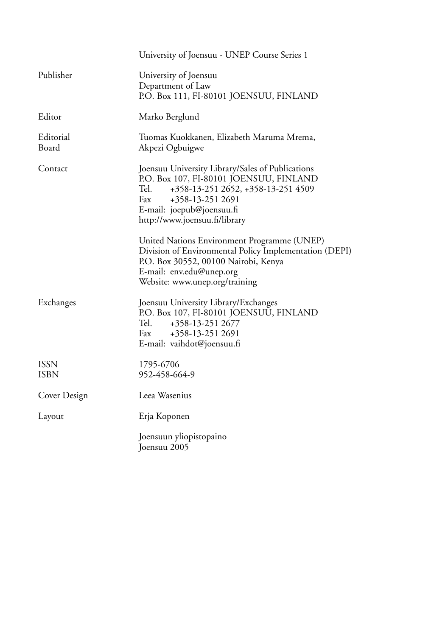|                     | University of Joensuu - UNEP Course Series 1                                                                                                                                                                                       |
|---------------------|------------------------------------------------------------------------------------------------------------------------------------------------------------------------------------------------------------------------------------|
| Publisher           | University of Joensuu<br>Department of Law<br>P.O. Box 111, FI-80101 JOENSUU, FINLAND                                                                                                                                              |
| Editor              | Marko Berglund                                                                                                                                                                                                                     |
| Editorial<br>Board  | Tuomas Kuokkanen, Elizabeth Maruma Mrema,<br>Akpezi Ogbuigwe                                                                                                                                                                       |
| Contact             | Joensuu University Library/Sales of Publications<br>P.O. Box 107, FI-80101 JOENSUU, FINLAND<br>+358-13-251 2652, +358-13-251 4509<br>Tel.<br>Fax<br>+358-13-251 2691<br>E-mail: joepub@joensuu.fi<br>http://www.joensuu.fi/library |
|                     | United Nations Environment Programme (UNEP)<br>Division of Environmental Policy Implementation (DEPI)<br>P.O. Box 30552, 00100 Nairobi, Kenya<br>E-mail: env.edu@unep.org<br>Website: www.unep.org/training                        |
| Exchanges           | Joensuu University Library/Exchanges<br>P.O. Box 107, FI-80101 JOENSUU, FINLAND<br>Tel.<br>+358-13-251 2677<br>Fax<br>+358-13-251 2691<br>E-mail: vaihdot@joensuu.fi                                                               |
| <b>ISSN</b><br>ISBN | 1795-6706<br>952-458-664-9                                                                                                                                                                                                         |
| Cover Design        | Leea Wasenius                                                                                                                                                                                                                      |
| Layout              | Erja Koponen                                                                                                                                                                                                                       |
|                     | Joensuun yliopistopaino<br>Joensuu 2005                                                                                                                                                                                            |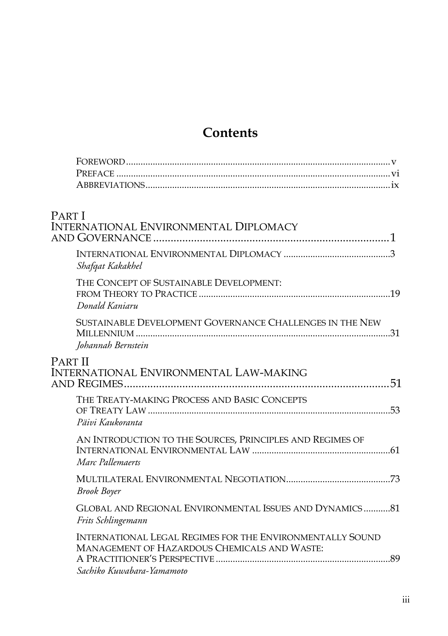# **Contents**

| <b>PARTI</b><br><b>INTERNATIONAL ENVIRONMENTAL DIPLOMACY</b>                                                                                  |  |
|-----------------------------------------------------------------------------------------------------------------------------------------------|--|
| Shafqat Kakakhel                                                                                                                              |  |
| THE CONCEPT OF SUSTAINABLE DEVELOPMENT:<br>Donald Kaniaru                                                                                     |  |
| SUSTAINABLE DEVELOPMENT GOVERNANCE CHALLENGES IN THE NEW<br>Johannah Bernstein                                                                |  |
| <b>PART II</b><br>INTERNATIONAL ENVIRONMENTAL LAW-MAKING                                                                                      |  |
| THE TREATY-MAKING PROCESS AND BASIC CONCEPTS<br>Päivi Kaukoranta                                                                              |  |
| AN INTRODUCTION TO THE SOURCES, PRINCIPLES AND REGIMES OF<br>Marc Pallemaerts                                                                 |  |
| <b>Brook Boyer</b>                                                                                                                            |  |
| GLOBAL AND REGIONAL ENVIRONMENTAL ISSUES AND DYNAMICS81<br>Frits Schlingemann                                                                 |  |
| <b>INTERNATIONAL LEGAL REGIMES FOR THE ENVIRONMENTALLY SOUND</b><br>MANAGEMENT OF HAZARDOUS CHEMICALS AND WASTE:<br>Sachiko Kuwabara-Yamamoto |  |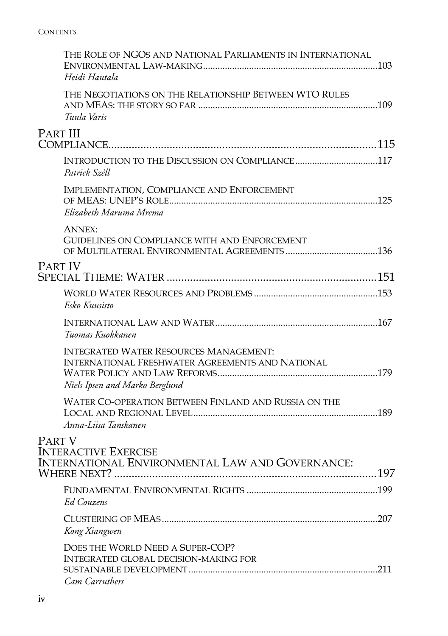|                 | THE ROLE OF NGOS AND NATIONAL PARLIAMENTS IN INTERNATIONAL<br>Heidi Hautala |  |
|-----------------|-----------------------------------------------------------------------------|--|
|                 | THE NEGOTIATIONS ON THE RELATIONSHIP BETWEEN WTO RULES<br>Tuula Varis       |  |
| <b>PART III</b> |                                                                             |  |
|                 |                                                                             |  |
|                 | INTRODUCTION TO THE DISCUSSION ON COMPLIANCE117<br>Patrick Széll            |  |
|                 | IMPLEMENTATION, COMPLIANCE AND ENFORCEMENT                                  |  |
|                 | Elizabeth Maruma Mrema                                                      |  |
|                 | <b>ANNEX:</b>                                                               |  |
|                 | GUIDELINES ON COMPLIANCE WITH AND ENFORCEMENT                               |  |
|                 |                                                                             |  |
| <b>PART IV</b>  |                                                                             |  |
|                 |                                                                             |  |
|                 | Esko Kuusisto                                                               |  |
|                 | Tuomas Kuokkanen                                                            |  |
|                 | <b>INTEGRATED WATER RESOURCES MANAGEMENT:</b>                               |  |
|                 | <b>INTERNATIONAL FRESHWATER AGREEMENTS AND NATIONAL</b>                     |  |
|                 | Niels Ipsen and Marko Berglund                                              |  |
|                 | WATER CO-OPERATION BETWEEN FINLAND AND RUSSIA ON THE                        |  |
|                 | Anna-Liisa Tanskanen                                                        |  |
|                 |                                                                             |  |
| PART V          | <b>INTERACTIVE EXERCISE</b>                                                 |  |
|                 | INTERNATIONAL ENVIRONMENTAL LAW AND GOVERNANCE:                             |  |
|                 |                                                                             |  |
|                 | <b>Ed Couzens</b>                                                           |  |
|                 |                                                                             |  |
|                 | Kong Xiangwen                                                               |  |
|                 | DOES THE WORLD NEED A SUPER-COP?                                            |  |
|                 | <b>INTEGRATED GLOBAL DECISION-MAKING FOR</b>                                |  |
|                 | Cam Carruthers                                                              |  |
|                 |                                                                             |  |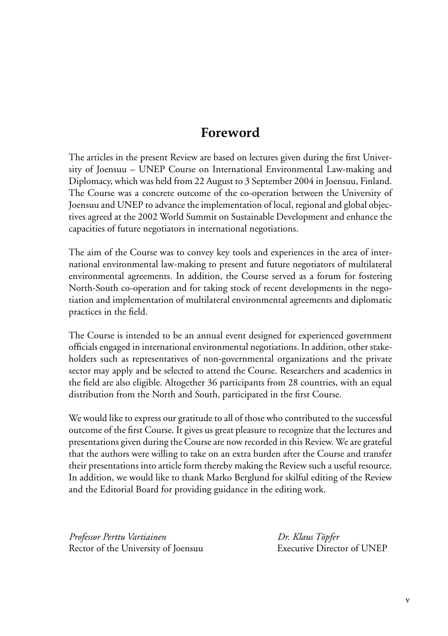# **Foreword**

The articles in the present Review are based on lectures given during the first University of Joensuu – UNEP Course on International Environmental Law-making and Diplomacy, which was held from 22 August to 3 September 2004 in Joensuu, Finland. The Course was a concrete outcome of the co-operation between the University of Joensuu and UNEP to advance the implementation of local, regional and global objectives agreed at the 2002 World Summit on Sustainable Development and enhance the capacities of future negotiators in international negotiations.

The aim of the Course was to convey key tools and experiences in the area of international environmental law-making to present and future negotiators of multilateral environmental agreements. In addition, the Course served as a forum for fostering North-South co-operation and for taking stock of recent developments in the negotiation and implementation of multilateral environmental agreements and diplomatic practices in the field.

The Course is intended to be an annual event designed for experienced government officials engaged in international environmental negotiations. In addition, other stakeholders such as representatives of non-governmental organizations and the private sector may apply and be selected to attend the Course. Researchers and academics in the field are also eligible. Altogether 36 participants from 28 countries, with an equal distribution from the North and South, participated in the first Course.

We would like to express our gratitude to all of those who contributed to the successful outcome of the first Course. It gives us great pleasure to recognize that the lectures and presentations given during the Course are now recorded in this Review. We are grateful that the authors were willing to take on an extra burden after the Course and transfer their presentations into article form thereby making the Review such a useful resource. In addition, we would like to thank Marko Berglund for skilful editing of the Review and the Editorial Board for providing guidance in the editing work.

*Professor Perttu Vartiainen Dr. Klaus Töpfer* Rector of the University of Joensuu Executive Director of UNEP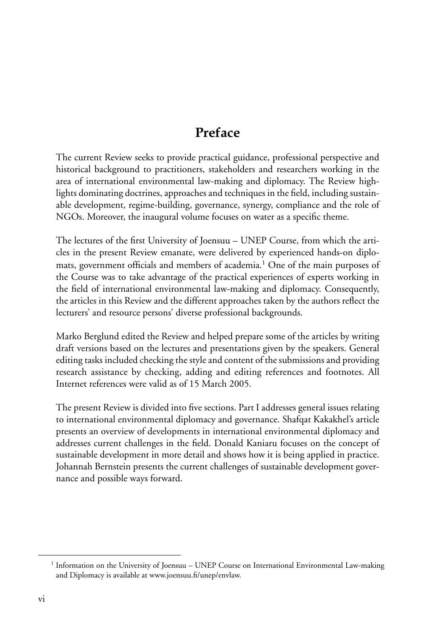# **Preface**

The current Review seeks to provide practical guidance, professional perspective and historical background to practitioners, stakeholders and researchers working in the area of international environmental law-making and diplomacy. The Review highlights dominating doctrines, approaches and techniques in the field, including sustainable development, regime-building, governance, synergy, compliance and the role of NGOs. Moreover, the inaugural volume focuses on water as a specific theme.

The lectures of the first University of Joensuu – UNEP Course, from which the articles in the present Review emanate, were delivered by experienced hands-on diplomats, government officials and members of academia.<sup>1</sup> One of the main purposes of the Course was to take advantage of the practical experiences of experts working in the field of international environmental law-making and diplomacy. Consequently, the articles in this Review and the different approaches taken by the authors reflect the lecturers' and resource persons' diverse professional backgrounds.

Marko Berglund edited the Review and helped prepare some of the articles by writing draft versions based on the lectures and presentations given by the speakers. General editing tasks included checking the style and content of the submissions and providing research assistance by checking, adding and editing references and footnotes. All Internet references were valid as of 15 March 2005.

The present Review is divided into five sections. Part I addresses general issues relating to international environmental diplomacy and governance. Shafqat Kakakhel's article presents an overview of developments in international environmental diplomacy and addresses current challenges in the field. Donald Kaniaru focuses on the concept of sustainable development in more detail and shows how it is being applied in practice. Johannah Bernstein presents the current challenges of sustainable development governance and possible ways forward.

<sup>&</sup>lt;sup>1</sup> Information on the University of Joensuu - UNEP Course on International Environmental Law-making and Diplomacy is available at www.joensuu.fi/unep/envlaw.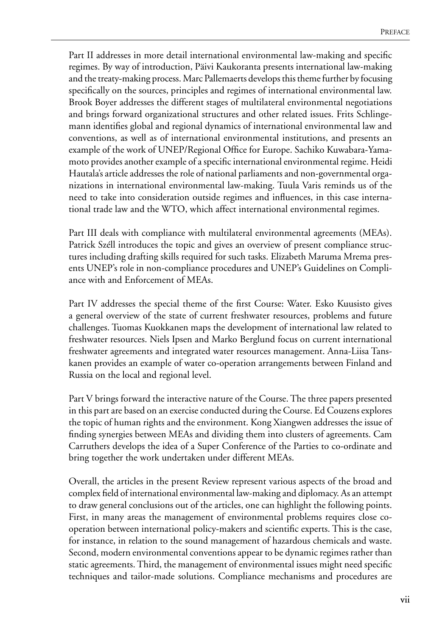Part II addresses in more detail international environmental law-making and specific regimes. By way of introduction, Päivi Kaukoranta presents international law-making and the treaty-making process. Marc Pallemaerts develops this theme further by focusing specifically on the sources, principles and regimes of international environmental law. Brook Boyer addresses the different stages of multilateral environmental negotiations and brings forward organizational structures and other related issues. Frits Schlingemann identifies global and regional dynamics of international environmental law and conventions, as well as of international environmental institutions, and presents an example of the work of UNEP/Regional Office for Europe. Sachiko Kuwabara-Yamamoto provides another example of a specific international environmental regime. Heidi Hautala's article addresses the role of national parliaments and non-governmental organizations in international environmental law-making. Tuula Varis reminds us of the need to take into consideration outside regimes and influences, in this case international trade law and the WTO, which affect international environmental regimes.

Part III deals with compliance with multilateral environmental agreements (MEAs). Patrick Széll introduces the topic and gives an overview of present compliance structures including drafting skills required for such tasks. Elizabeth Maruma Mrema presents UNEP's role in non-compliance procedures and UNEP's Guidelines on Compliance with and Enforcement of MEAs.

Part IV addresses the special theme of the first Course: Water. Esko Kuusisto gives a general overview of the state of current freshwater resources, problems and future challenges. Tuomas Kuokkanen maps the development of international law related to freshwater resources. Niels Ipsen and Marko Berglund focus on current international freshwater agreements and integrated water resources management. Anna-Liisa Tanskanen provides an example of water co-operation arrangements between Finland and Russia on the local and regional level.

Part V brings forward the interactive nature of the Course. The three papers presented in this part are based on an exercise conducted during the Course. Ed Couzens explores the topic of human rights and the environment. Kong Xiangwen addresses the issue of finding synergies between MEAs and dividing them into clusters of agreements. Cam Carruthers develops the idea of a Super Conference of the Parties to co-ordinate and bring together the work undertaken under different MEAs.

Overall, the articles in the present Review represent various aspects of the broad and complex field of international environmental law-making and diplomacy. As an attempt to draw general conclusions out of the articles, one can highlight the following points. First, in many areas the management of environmental problems requires close cooperation between international policy-makers and scientific experts. This is the case, for instance, in relation to the sound management of hazardous chemicals and waste. Second, modern environmental conventions appear to be dynamic regimes rather than static agreements. Third, the management of environmental issues might need specific techniques and tailor-made solutions. Compliance mechanisms and procedures are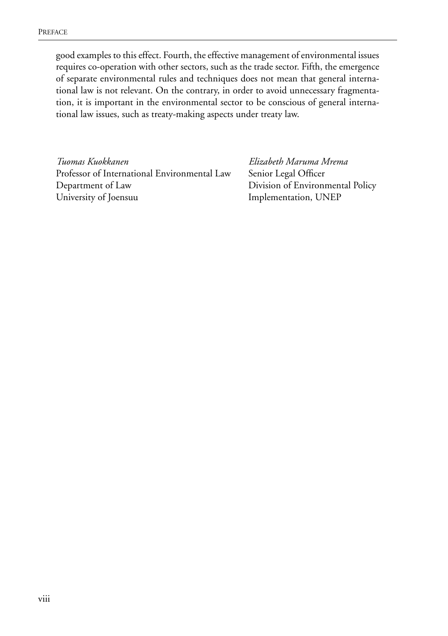good examples to this effect. Fourth, the effective management of environmental issues requires co-operation with other sectors, such as the trade sector. Fifth, the emergence of separate environmental rules and techniques does not mean that general international law is not relevant. On the contrary, in order to avoid unnecessary fragmentation, it is important in the environmental sector to be conscious of general international law issues, such as treaty-making aspects under treaty law.

*Tuomas Kuokkanen Elizabeth Maruma Mrema* Professor of International Environmental Law Senior Legal Officer Department of Law Division of Environmental Policy University of Joensuu Implementation, UNEP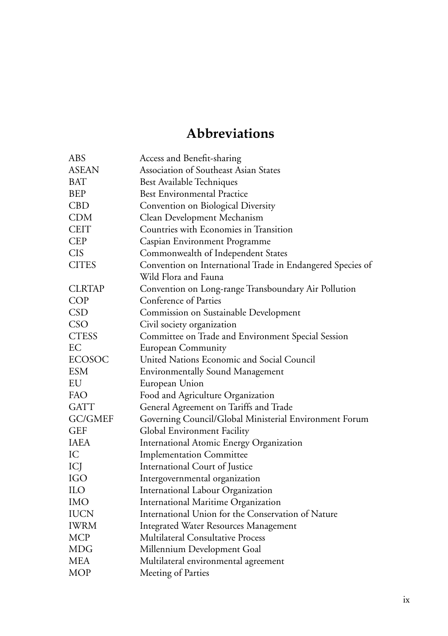# **Abbreviations**

| <b>ABS</b>     | Access and Benefit-sharing                                 |
|----------------|------------------------------------------------------------|
| <b>ASEAN</b>   | Association of Southeast Asian States                      |
| <b>BAT</b>     | Best Available Techniques                                  |
| <b>BEP</b>     | <b>Best Environmental Practice</b>                         |
| <b>CBD</b>     | Convention on Biological Diversity                         |
| <b>CDM</b>     | Clean Development Mechanism                                |
| <b>CEIT</b>    | Countries with Economies in Transition                     |
| <b>CEP</b>     | Caspian Environment Programme                              |
| <b>CIS</b>     | Commonwealth of Independent States                         |
| <b>CITES</b>   | Convention on International Trade in Endangered Species of |
|                | Wild Flora and Fauna                                       |
| <b>CLRTAP</b>  | Convention on Long-range Transboundary Air Pollution       |
| <b>COP</b>     | Conference of Parties                                      |
| <b>CSD</b>     | Commission on Sustainable Development                      |
| CSO            | Civil society organization                                 |
| <b>CTESS</b>   | Committee on Trade and Environment Special Session         |
| EC             | <b>European Community</b>                                  |
| <b>ECOSOC</b>  | United Nations Economic and Social Council                 |
| <b>ESM</b>     | <b>Environmentally Sound Management</b>                    |
| EU             | European Union                                             |
| FAO            | Food and Agriculture Organization                          |
| <b>GATT</b>    | General Agreement on Tariffs and Trade                     |
| <b>GC/GMEF</b> | Governing Council/Global Ministerial Environment Forum     |
| <b>GEF</b>     | Global Environment Facility                                |
| <b>IAEA</b>    | International Atomic Energy Organization                   |
| IC             | <b>Implementation Committee</b>                            |
| ICJ            | International Court of Justice                             |
| <b>IGO</b>     | Intergovernmental organization                             |
| <b>ILO</b>     | International Labour Organization                          |
| <b>IMO</b>     | International Maritime Organization                        |
| <b>IUCN</b>    | International Union for the Conservation of Nature         |
| <b>IWRM</b>    | Integrated Water Resources Management                      |
| <b>MCP</b>     | <b>Multilateral Consultative Process</b>                   |
| <b>MDG</b>     | Millennium Development Goal                                |
| <b>MEA</b>     | Multilateral environmental agreement                       |
| <b>MOP</b>     | Meeting of Parties                                         |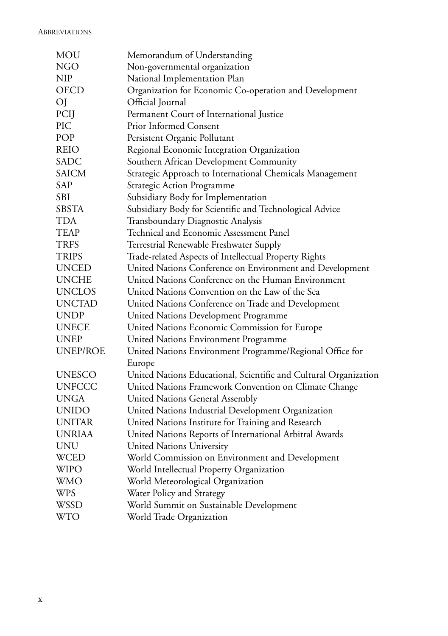| <b>MOU</b>      | Memorandum of Understanding                                      |
|-----------------|------------------------------------------------------------------|
| <b>NGO</b>      | Non-governmental organization                                    |
| <b>NIP</b>      | National Implementation Plan                                     |
| <b>OECD</b>     | Organization for Economic Co-operation and Development           |
| OJ              | Official Journal                                                 |
| PCIJ            | Permanent Court of International Justice                         |
| PIC             | <b>Prior Informed Consent</b>                                    |
| POP             | Persistent Organic Pollutant                                     |
| <b>REIO</b>     | Regional Economic Integration Organization                       |
| <b>SADC</b>     | Southern African Development Community                           |
| <b>SAICM</b>    | Strategic Approach to International Chemicals Management         |
| SAP             | Strategic Action Programme                                       |
| SBI             | Subsidiary Body for Implementation                               |
| <b>SBSTA</b>    | Subsidiary Body for Scientific and Technological Advice          |
| <b>TDA</b>      | Transboundary Diagnostic Analysis                                |
| <b>TEAP</b>     | Technical and Economic Assessment Panel                          |
| <b>TRFS</b>     | Terrestrial Renewable Freshwater Supply                          |
| <b>TRIPS</b>    | Trade-related Aspects of Intellectual Property Rights            |
| <b>UNCED</b>    | United Nations Conference on Environment and Development         |
| <b>UNCHE</b>    | United Nations Conference on the Human Environment               |
| <b>UNCLOS</b>   | United Nations Convention on the Law of the Sea                  |
| <b>UNCTAD</b>   | United Nations Conference on Trade and Development               |
| <b>UNDP</b>     | United Nations Development Programme                             |
| <b>UNECE</b>    | United Nations Economic Commission for Europe                    |
| <b>UNEP</b>     | United Nations Environment Programme                             |
| <b>UNEP/ROE</b> | United Nations Environment Programme/Regional Office for         |
|                 | Europe                                                           |
| <b>UNESCO</b>   | United Nations Educational, Scientific and Cultural Organization |
| <b>UNFCCC</b>   | United Nations Framework Convention on Climate Change            |
| UNGA            | United Nations General Assembly                                  |
| <b>UNIDO</b>    | United Nations Industrial Development Organization               |
| <b>UNITAR</b>   | United Nations Institute for Training and Research               |
| <b>UNRIAA</b>   | United Nations Reports of International Arbitral Awards          |
| UNU             | <b>United Nations University</b>                                 |
| <b>WCED</b>     | World Commission on Environment and Development                  |
| WIPO            | World Intellectual Property Organization                         |
| <b>WMO</b>      | World Meteorological Organization                                |
| <b>WPS</b>      | Water Policy and Strategy                                        |
| WSSD            | World Summit on Sustainable Development                          |
| <b>WTO</b>      | World Trade Organization                                         |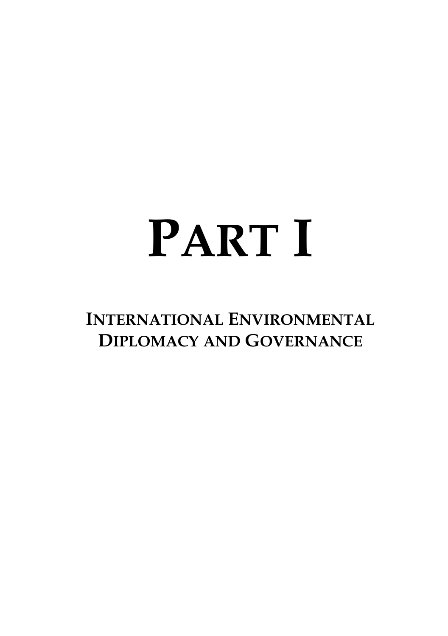# <span id="page-10-0"></span>**PART I**

**INTERNATIONAL ENVIRONMENTAL DIPLOMACY AND GOVERNANCE**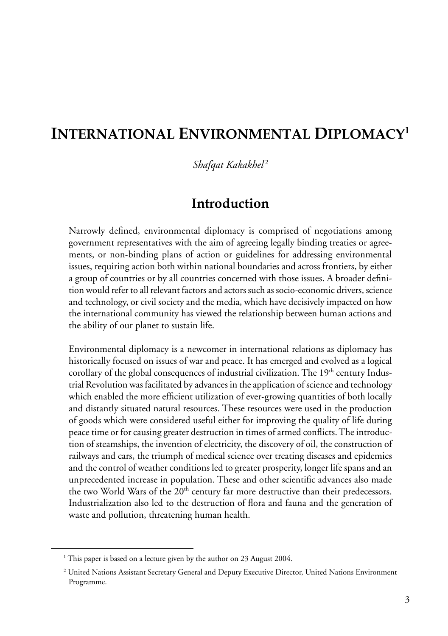# <span id="page-12-0"></span>**INTERNATIONAL ENVIRONMENTAL DIPLOMACY<sup>1</sup>**

*Shafqat Kakakhel* <sup>2</sup>

## **Introduction**

Narrowly defined, environmental diplomacy is comprised of negotiations among government representatives with the aim of agreeing legally binding treaties or agreements, or non-binding plans of action or guidelines for addressing environmental issues, requiring action both within national boundaries and across frontiers, by either a group of countries or by all countries concerned with those issues. A broader definition would refer to all relevant factors and actors such as socio-economic drivers, science and technology, or civil society and the media, which have decisively impacted on how the international community has viewed the relationship between human actions and the ability of our planet to sustain life.

Environmental diplomacy is a newcomer in international relations as diplomacy has historically focused on issues of war and peace. It has emerged and evolved as a logical corollary of the global consequences of industrial civilization. The  $19<sup>th</sup>$  century Industrial Revolution was facilitated by advances in the application of science and technology which enabled the more efficient utilization of ever-growing quantities of both locally and distantly situated natural resources. These resources were used in the production of goods which were considered useful either for improving the quality of life during peace time or for causing greater destruction in times of armed conflicts. The introduction of steamships, the invention of electricity, the discovery of oil, the construction of railways and cars, the triumph of medical science over treating diseases and epidemics and the control of weather conditions led to greater prosperity, longer life spans and an unprecedented increase in population. These and other scientific advances also made the two World Wars of the 20<sup>th</sup> century far more destructive than their predecessors. Industrialization also led to the destruction of flora and fauna and the generation of waste and pollution, threatening human health.

<sup>&</sup>lt;sup>1</sup> This paper is based on a lecture given by the author on 23 August 2004.

<sup>2</sup> United Nations Assistant Secretary General and Deputy Executive Director, United Nations Environment Programme.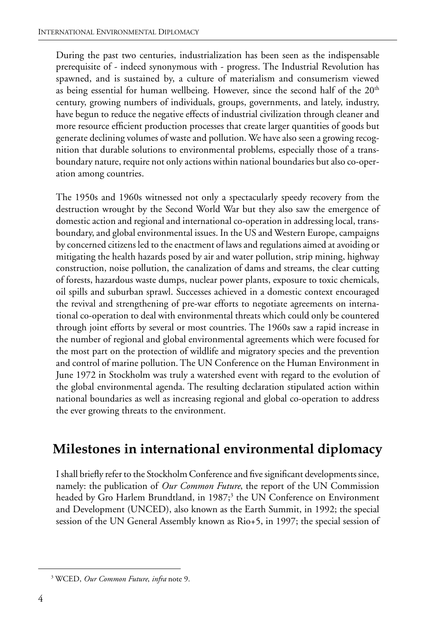During the past two centuries, industrialization has been seen as the indispensable prerequisite of - indeed synonymous with - progress. The Industrial Revolution has spawned, and is sustained by, a culture of materialism and consumerism viewed as being essential for human wellbeing. However, since the second half of the  $20<sup>th</sup>$ century, growing numbers of individuals, groups, governments, and lately, industry, have begun to reduce the negative effects of industrial civilization through cleaner and more resource efficient production processes that create larger quantities of goods but generate declining volumes of waste and pollution. We have also seen a growing recognition that durable solutions to environmental problems, especially those of a transboundary nature, require not only actions within national boundaries but also co-operation among countries.

The 1950s and 1960s witnessed not only a spectacularly speedy recovery from the destruction wrought by the Second World War but they also saw the emergence of domestic action and regional and international co-operation in addressing local, transboundary, and global environmental issues. In the US and Western Europe, campaigns by concerned citizens led to the enactment of laws and regulations aimed at avoiding or mitigating the health hazards posed by air and water pollution, strip mining, highway construction, noise pollution, the canalization of dams and streams, the clear cutting of forests, hazardous waste dumps, nuclear power plants, exposure to toxic chemicals, oil spills and suburban sprawl. Successes achieved in a domestic context encouraged the revival and strengthening of pre-war efforts to negotiate agreements on international co-operation to deal with environmental threats which could only be countered through joint efforts by several or most countries. The 1960s saw a rapid increase in the number of regional and global environmental agreements which were focused for the most part on the protection of wildlife and migratory species and the prevention and control of marine pollution. The UN Conference on the Human Environment in June 1972 in Stockholm was truly a watershed event with regard to the evolution of the global environmental agenda. The resulting declaration stipulated action within national boundaries as well as increasing regional and global co-operation to address the ever growing threats to the environment.

# **Milestones in international environmental diplomacy**

I shall briefly refer to the Stockholm Conference and five significant developments since, namely: the publication of *Our Common Future*, the report of the UN Commission headed by Gro Harlem Brundtland, in 1987;<sup>3</sup> the UN Conference on Environment and Development (UNCED), also known as the Earth Summit, in 1992; the special session of the UN General Assembly known as Rio+5, in 1997; the special session of

<sup>3</sup> WCED, *Our Common Future*, *infra* note 9.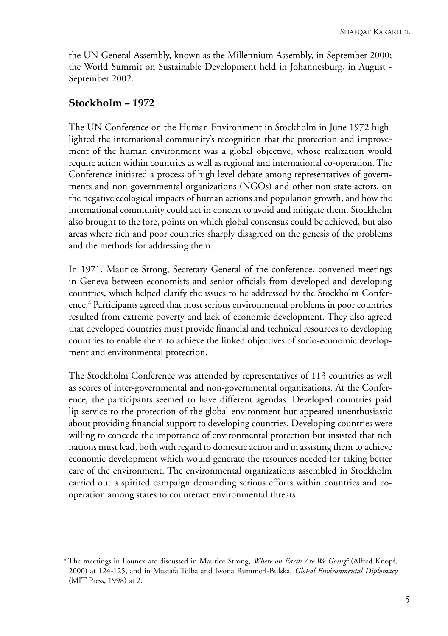the UN General Assembly, known as the Millennium Assembly, in September 2000; the World Summit on Sustainable Development held in Johannesburg, in August - September 2002.

#### **Stockholm – 1972**

The UN Conference on the Human Environment in Stockholm in June 1972 highlighted the international community's recognition that the protection and improvement of the human environment was a global objective, whose realization would require action within countries as well as regional and international co-operation. The Conference initiated a process of high level debate among representatives of governments and non-governmental organizations (NGOs) and other non-state actors, on the negative ecological impacts of human actions and population growth, and how the international community could act in concert to avoid and mitigate them. Stockholm also brought to the fore, points on which global consensus could be achieved, but also areas where rich and poor countries sharply disagreed on the genesis of the problems and the methods for addressing them.

In 1971, Maurice Strong, Secretary General of the conference, convened meetings in Geneva between economists and senior officials from developed and developing countries, which helped clarify the issues to be addressed by the Stockholm Conference.<sup>4</sup> Participants agreed that most serious environmental problems in poor countries resulted from extreme poverty and lack of economic development. They also agreed that developed countries must provide financial and technical resources to developing countries to enable them to achieve the linked objectives of socio-economic development and environmental protection.

The Stockholm Conference was attended by representatives of 113 countries as well as scores of inter-governmental and non-governmental organizations. At the Conference, the participants seemed to have different agendas. Developed countries paid lip service to the protection of the global environment but appeared unenthusiastic about providing financial support to developing countries. Developing countries were willing to concede the importance of environmental protection but insisted that rich nations must lead, both with regard to domestic action and in assisting them to achieve economic development which would generate the resources needed for taking better care of the environment. The environmental organizations assembled in Stockholm carried out a spirited campaign demanding serious efforts within countries and cooperation among states to counteract environmental threats.

<sup>4</sup> The meetings in Founex are discussed in Maurice Strong, *Where on Earth Are We Going?* (Alfred Knopf, 2000) at 124-125, and in Mustafa Tolba and Iwona Rummerl-Bulska, *Global Environmental Diplomacy* (MIT Press, 1998) at 2.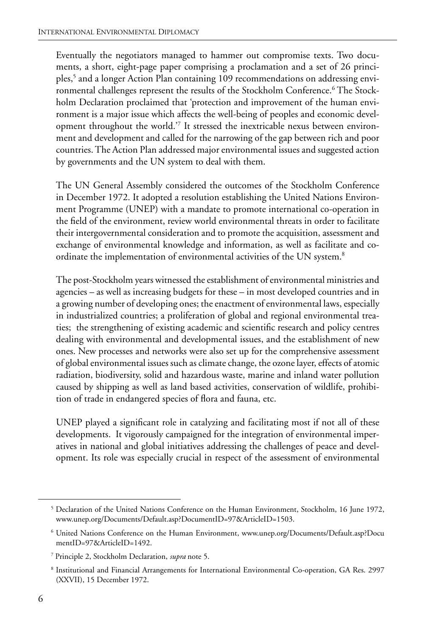Eventually the negotiators managed to hammer out compromise texts. Two documents, a short, eight-page paper comprising a proclamation and a set of 26 principles,5 and a longer Action Plan containing 109 recommendations on addressing environmental challenges represent the results of the Stockholm Conference.6 The Stockholm Declaration proclaimed that 'protection and improvement of the human environment is a major issue which affects the well-being of peoples and economic development throughout the world.'7 It stressed the inextricable nexus between environment and development and called for the narrowing of the gap between rich and poor countries. The Action Plan addressed major environmental issues and suggested action by governments and the UN system to deal with them.

The UN General Assembly considered the outcomes of the Stockholm Conference in December 1972. It adopted a resolution establishing the United Nations Environment Programme (UNEP) with a mandate to promote international co-operation in the field of the environment, review world environmental threats in order to facilitate their intergovernmental consideration and to promote the acquisition, assessment and exchange of environmental knowledge and information, as well as facilitate and coordinate the implementation of environmental activities of the UN system.<sup>8</sup>

The post-Stockholm years witnessed the establishment of environmental ministries and agencies – as well as increasing budgets for these – in most developed countries and in a growing number of developing ones; the enactment of environmental laws, especially in industrialized countries; a proliferation of global and regional environmental treaties; the strengthening of existing academic and scientific research and policy centres dealing with environmental and developmental issues, and the establishment of new ones. New processes and networks were also set up for the comprehensive assessment of global environmental issues such as climate change, the ozone layer, effects of atomic radiation, biodiversity, solid and hazardous waste, marine and inland water pollution caused by shipping as well as land based activities, conservation of wildlife, prohibition of trade in endangered species of flora and fauna, etc.

UNEP played a significant role in catalyzing and facilitating most if not all of these developments. It vigorously campaigned for the integration of environmental imperatives in national and global initiatives addressing the challenges of peace and development. Its role was especially crucial in respect of the assessment of environmental

<sup>&</sup>lt;sup>5</sup> Declaration of the United Nations Conference on the Human Environment, Stockholm, 16 June 1972, www.unep.org/Documents/Default.asp?DocumentID=97&ArticleID=1503.

<sup>6</sup> United Nations Conference on the Human Environment, www.unep.org/Documents/Default.asp?Docu mentID=97&ArticleID=1492.

<sup>7</sup> Principle 2, Stockholm Declaration, *supra* note 5.

<sup>8</sup> Institutional and Financial Arrangements for International Environmental Co-operation, GA Res. 2997 (XXVII), 15 December 1972.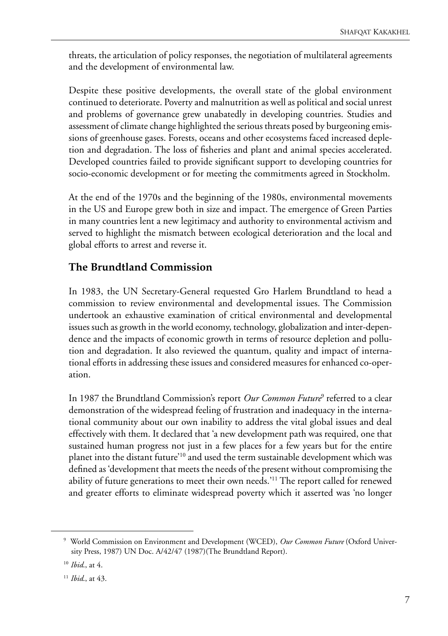threats, the articulation of policy responses, the negotiation of multilateral agreements and the development of environmental law.

Despite these positive developments, the overall state of the global environment continued to deteriorate. Poverty and malnutrition as well as political and social unrest and problems of governance grew unabatedly in developing countries. Studies and assessment of climate change highlighted the serious threats posed by burgeoning emissions of greenhouse gases. Forests, oceans and other ecosystems faced increased depletion and degradation. The loss of fisheries and plant and animal species accelerated. Developed countries failed to provide significant support to developing countries for socio-economic development or for meeting the commitments agreed in Stockholm.

At the end of the 1970s and the beginning of the 1980s, environmental movements in the US and Europe grew both in size and impact. The emergence of Green Parties in many countries lent a new legitimacy and authority to environmental activism and served to highlight the mismatch between ecological deterioration and the local and global efforts to arrest and reverse it.

#### **The Brundtland Commission**

In 1983, the UN Secretary-General requested Gro Harlem Brundtland to head a commission to review environmental and developmental issues. The Commission undertook an exhaustive examination of critical environmental and developmental issues such as growth in the world economy, technology, globalization and inter-dependence and the impacts of economic growth in terms of resource depletion and pollution and degradation. It also reviewed the quantum, quality and impact of international efforts in addressing these issues and considered measures for enhanced co-operation.

In 1987 the Brundtland Commission's report *Our Common Future*<sup>9</sup> referred to a clear demonstration of the widespread feeling of frustration and inadequacy in the international community about our own inability to address the vital global issues and deal effectively with them. It declared that 'a new development path was required, one that sustained human progress not just in a few places for a few years but for the entire planet into the distant future'10 and used the term sustainable development which was defined as 'development that meets the needs of the present without compromising the ability of future generations to meet their own needs.'<sup>11</sup> The report called for renewed and greater efforts to eliminate widespread poverty which it asserted was 'no longer

<sup>9</sup> World Commission on Environment and Development (WCED), *Our Common Future* (Oxford University Press, 1987) UN Doc. A/42/47 (1987)(The Brundtland Report).

<sup>10</sup> *Ibid*., at 4.

<sup>11</sup> *Ibid*., at 43.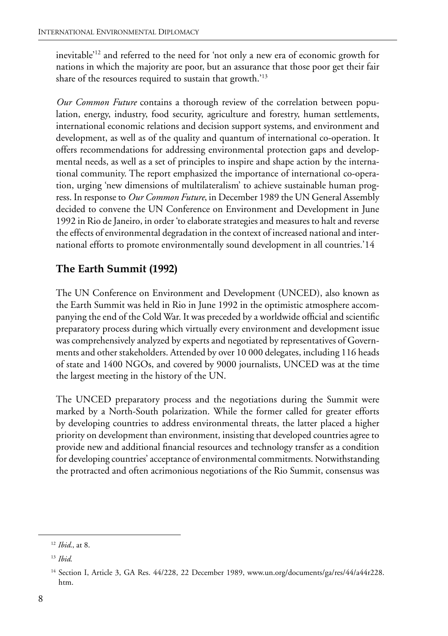inevitable'12 and referred to the need for 'not only a new era of economic growth for nations in which the majority are poor, but an assurance that those poor get their fair share of the resources required to sustain that growth.'13

*Our Common Future* contains a thorough review of the correlation between population, energy, industry, food security, agriculture and forestry, human settlements, international economic relations and decision support systems, and environment and development, as well as of the quality and quantum of international co-operation. It offers recommendations for addressing environmental protection gaps and developmental needs, as well as a set of principles to inspire and shape action by the international community. The report emphasized the importance of international co-operation, urging 'new dimensions of multilateralism' to achieve sustainable human progress. In response to *Our Common Future*, in December 1989 the UN General Assembly decided to convene the UN Conference on Environment and Development in June 1992 in Rio de Janeiro, in order 'to elaborate strategies and measures to halt and reverse the effects of environmental degradation in the context of increased national and international efforts to promote environmentally sound development in all countries.'14

#### **The Earth Summit (1992)**

The UN Conference on Environment and Development (UNCED), also known as the Earth Summit was held in Rio in June 1992 in the optimistic atmosphere accompanying the end of the Cold War. It was preceded by a worldwide official and scientific preparatory process during which virtually every environment and development issue was comprehensively analyzed by experts and negotiated by representatives of Governments and other stakeholders. Attended by over 10 000 delegates, including 116 heads of state and 1400 NGOs, and covered by 9000 journalists, UNCED was at the time the largest meeting in the history of the UN.

The UNCED preparatory process and the negotiations during the Summit were marked by a North-South polarization. While the former called for greater efforts by developing countries to address environmental threats, the latter placed a higher priority on development than environment, insisting that developed countries agree to provide new and additional financial resources and technology transfer as a condition for developing countries' acceptance of environmental commitments. Notwithstanding the protracted and often acrimonious negotiations of the Rio Summit, consensus was

<sup>12</sup> *Ibid*., at 8.

<sup>13</sup> *Ibid*.

<sup>14</sup> Section I, Article 3, GA Res. 44/228, 22 December 1989, www.un.org/documents/ga/res/44/a44r228. htm.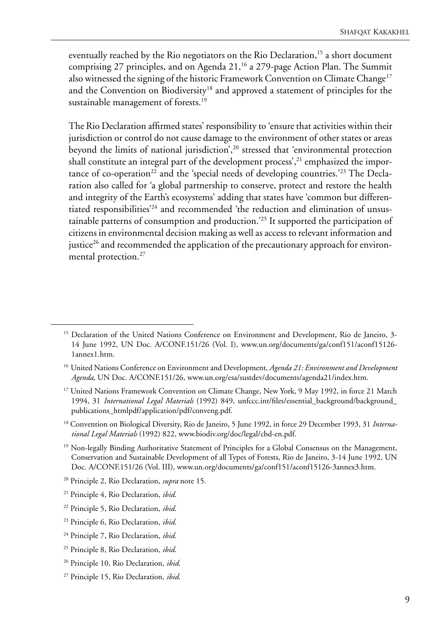eventually reached by the Rio negotiators on the Rio Declaration,<sup>15</sup> a short document comprising 27 principles, and on Agenda 21,<sup>16</sup> a 279-page Action Plan. The Summit also witnessed the signing of the historic Framework Convention on Climate Change<sup>17</sup> and the Convention on Biodiversity<sup>18</sup> and approved a statement of principles for the sustainable management of forests.<sup>19</sup>

The Rio Declaration affirmed states' responsibility to 'ensure that activities within their jurisdiction or control do not cause damage to the environment of other states or areas beyond the limits of national jurisdiction',<sup>20</sup> stressed that 'environmental protection shall constitute an integral part of the development process',<sup>21</sup> emphasized the importance of co-operation<sup>22</sup> and the 'special needs of developing countries.<sup>223</sup> The Declaration also called for 'a global partnership to conserve, protect and restore the health and integrity of the Earth's ecosystems' adding that states have 'common but differentiated responsibilities'24 and recommended 'the reduction and elimination of unsustainable patterns of consumption and production.'25 It supported the participation of citizens in environmental decision making as well as access to relevant information and justice<sup>26</sup> and recommended the application of the precautionary approach for environmental protection.<sup>27</sup>

<sup>&</sup>lt;sup>15</sup> Declaration of the United Nations Conference on Environment and Development, Rio de Janeiro, 3-14 June 1992, UN Doc. A/CONF.151/26 (Vol. I), www.un.org/documents/ga/conf151/aconf15126- 1annex1.htm.

<sup>&</sup>lt;sup>16</sup> United Nations Conference on Environment and Development, *Agenda 21: Environment and Development Agenda*, UN Doc. A/CONF.151/26, www.un.org/esa/sustdev/documents/agenda21/index.htm.

<sup>&</sup>lt;sup>17</sup> United Nations Framework Convention on Climate Change, New York, 9 May 1992, in force 21 March 1994, 31 *International Legal Materials* (1992) 849, unfccc.int/files/essential\_background/background\_ publications\_htmlpdf/application/pdf/conveng.pdf.

<sup>18</sup> Convention on Biological Diversity, Rio de Janeiro, 5 June 1992, in force 29 December 1993, 31 *International Legal Materials* (1992) 822, www.biodiv.org/doc/legal/cbd-en.pdf.

<sup>&</sup>lt;sup>19</sup> Non-legally Binding Authoritative Statement of Principles for a Global Consensus on the Management, Conservation and Sustainable Development of all Types of Forests, Rio de Janeiro, 3-14 June 1992, UN Doc. A/CONF.151/26 (Vol. III), www.un.org/documents/ga/conf151/aconf15126-3annex3.htm.

<sup>20</sup> Principle 2, Rio Declaration, *supra* note 15.

<sup>21</sup> Principle 4, Rio Declaration, *ibid*.

<sup>22</sup> Principle 5, Rio Declaration, *ibid*.

<sup>23</sup> Principle 6, Rio Declaration, *ibid*.

<sup>24</sup> Principle 7, Rio Declaration, *ibid*.

<sup>25</sup> Principle 8, Rio Declaration, *ibid*.

<sup>26</sup> Principle 10, Rio Declaration, *ibid*.

<sup>27</sup> Principle 15, Rio Declaration, *ibid*.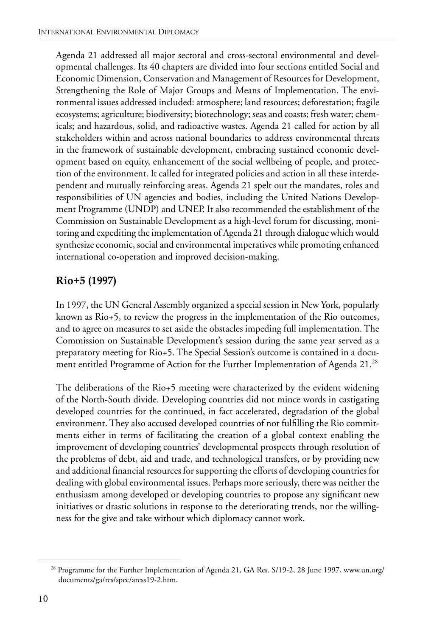Agenda 21 addressed all major sectoral and cross-sectoral environmental and developmental challenges. Its 40 chapters are divided into four sections entitled Social and Economic Dimension, Conservation and Management of Resources for Development, Strengthening the Role of Major Groups and Means of Implementation. The environmental issues addressed included: atmosphere; land resources; deforestation; fragile ecosystems; agriculture; biodiversity; biotechnology; seas and coasts; fresh water; chemicals; and hazardous, solid, and radioactive wastes. Agenda 21 called for action by all stakeholders within and across national boundaries to address environmental threats in the framework of sustainable development, embracing sustained economic development based on equity, enhancement of the social wellbeing of people, and protection of the environment. It called for integrated policies and action in all these interdependent and mutually reinforcing areas. Agenda 21 spelt out the mandates, roles and responsibilities of UN agencies and bodies, including the United Nations Development Programme (UNDP) and UNEP. It also recommended the establishment of the Commission on Sustainable Development as a high-level forum for discussing, monitoring and expediting the implementation of Agenda 21 through dialogue which would synthesize economic, social and environmental imperatives while promoting enhanced international co-operation and improved decision-making.

#### **Rio+5 (1997)**

In 1997, the UN General Assembly organized a special session in New York, popularly known as Rio+5, to review the progress in the implementation of the Rio outcomes, and to agree on measures to set aside the obstacles impeding full implementation. The Commission on Sustainable Development's session during the same year served as a preparatory meeting for Rio+5. The Special Session's outcome is contained in a document entitled Programme of Action for the Further Implementation of Agenda 21.<sup>28</sup>

The deliberations of the Rio+5 meeting were characterized by the evident widening of the North-South divide. Developing countries did not mince words in castigating developed countries for the continued, in fact accelerated, degradation of the global environment. They also accused developed countries of not fulfilling the Rio commitments either in terms of facilitating the creation of a global context enabling the improvement of developing countries' developmental prospects through resolution of the problems of debt, aid and trade, and technological transfers, or by providing new and additional financial resources for supporting the efforts of developing countries for dealing with global environmental issues. Perhaps more seriously, there was neither the enthusiasm among developed or developing countries to propose any significant new initiatives or drastic solutions in response to the deteriorating trends, nor the willingness for the give and take without which diplomacy cannot work.

<sup>&</sup>lt;sup>28</sup> Programme for the Further Implementation of Agenda 21, GA Res. S/19-2, 28 June 1997, www.un.org/ documents/ga/res/spec/aress19-2.htm.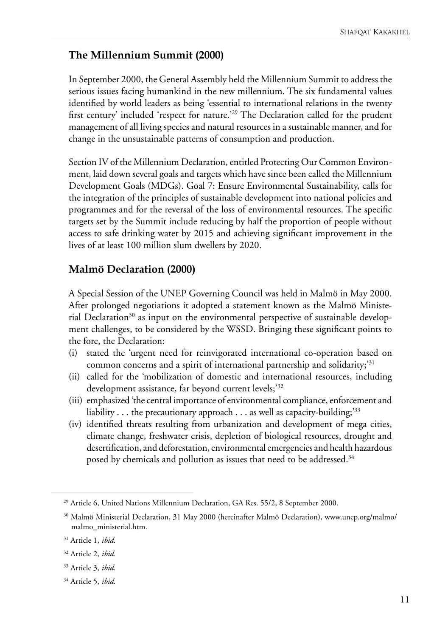#### **The Millennium Summit (2000)**

In September 2000, the General Assembly held the Millennium Summit to address the serious issues facing humankind in the new millennium. The six fundamental values identified by world leaders as being 'essential to international relations in the twenty first century' included 'respect for nature.'29 The Declaration called for the prudent management of all living species and natural resources in a sustainable manner, and for change in the unsustainable patterns of consumption and production.

Section IV of the Millennium Declaration, entitled Protecting Our Common Environment, laid down several goals and targets which have since been called the Millennium Development Goals (MDGs). Goal 7: Ensure Environmental Sustainability, calls for the integration of the principles of sustainable development into national policies and programmes and for the reversal of the loss of environmental resources. The specific targets set by the Summit include reducing by half the proportion of people without access to safe drinking water by 2015 and achieving significant improvement in the lives of at least 100 million slum dwellers by 2020.

#### **Malmö Declaration (2000)**

A Special Session of the UNEP Governing Council was held in Malmö in May 2000. After prolonged negotiations it adopted a statement known as the Malmö Ministerial Declaration<sup>30</sup> as input on the environmental perspective of sustainable development challenges, to be considered by the WSSD. Bringing these significant points to the fore, the Declaration:

- (i) stated the 'urgent need for reinvigorated international co-operation based on common concerns and a spirit of international partnership and solidarity;<sup>31</sup>
- (ii) called for the 'mobilization of domestic and international resources, including development assistance, far beyond current levels;'32
- (iii) emphasized 'the central importance of environmental compliance, enforcement and liability  $\dots$  the precautionary approach  $\dots$  as well as capacity-building;<sup>33</sup>
- (iv) identified threats resulting from urbanization and development of mega cities, climate change, freshwater crisis, depletion of biological resources, drought and desertification, and deforestation, environmental emergencies and health hazardous posed by chemicals and pollution as issues that need to be addressed.<sup>34</sup>

- 33 Article 3, *ibid*.
- 34 Article 5, *ibid*.

<sup>29</sup> Article 6, United Nations Millennium Declaration, GA Res. 55/2, 8 September 2000.

<sup>&</sup>lt;sup>30</sup> Malmö Ministerial Declaration, 31 May 2000 (hereinafter Malmö Declaration), www.unep.org/malmo/ malmo\_ministerial.htm.

<sup>31</sup> Article 1, *ibid*.

<sup>32</sup> Article 2, *ibid*.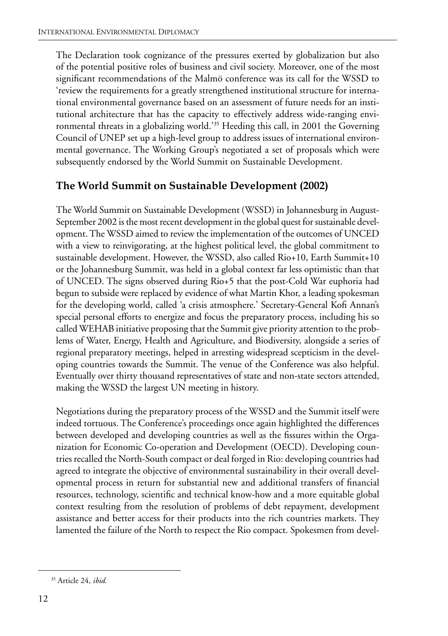The Declaration took cognizance of the pressures exerted by globalization but also of the potential positive roles of business and civil society. Moreover, one of the most significant recommendations of the Malmö conference was its call for the WSSD to 'review the requirements for a greatly strengthened institutional structure for international environmental governance based on an assessment of future needs for an institutional architecture that has the capacity to effectively address wide-ranging environmental threats in a globalizing world.'35 Heeding this call, in 2001 the Governing Council of UNEP set up a high-level group to address issues of international environmental governance. The Working Group's negotiated a set of proposals which were subsequently endorsed by the World Summit on Sustainable Development.

#### **The World Summit on Sustainable Development (2002)**

The World Summit on Sustainable Development (WSSD) in Johannesburg in August-September 2002 is the most recent development in the global quest for sustainable development. The WSSD aimed to review the implementation of the outcomes of UNCED with a view to reinvigorating, at the highest political level, the global commitment to sustainable development. However, the WSSD, also called Rio+10, Earth Summit+10 or the Johannesburg Summit, was held in a global context far less optimistic than that of UNCED. The signs observed during Rio+5 that the post-Cold War euphoria had begun to subside were replaced by evidence of what Martin Khor, a leading spokesman for the developing world, called 'a crisis atmosphere.' Secretary-General Kofi Annan's special personal efforts to energize and focus the preparatory process, including his so called WEHAB initiative proposing that the Summit give priority attention to the problems of Water, Energy, Health and Agriculture, and Biodiversity, alongside a series of regional preparatory meetings, helped in arresting widespread scepticism in the developing countries towards the Summit. The venue of the Conference was also helpful. Eventually over thirty thousand representatives of state and non-state sectors attended, making the WSSD the largest UN meeting in history.

Negotiations during the preparatory process of the WSSD and the Summit itself were indeed tortuous. The Conference's proceedings once again highlighted the differences between developed and developing countries as well as the fissures within the Organization for Economic Co-operation and Development (OECD). Developing countries recalled the North-South compact or deal forged in Rio: developing countries had agreed to integrate the objective of environmental sustainability in their overall developmental process in return for substantial new and additional transfers of financial resources, technology, scientific and technical know-how and a more equitable global context resulting from the resolution of problems of debt repayment, development assistance and better access for their products into the rich countries markets. They lamented the failure of the North to respect the Rio compact. Spokesmen from devel-

<sup>35</sup> Article 24, *ibid*.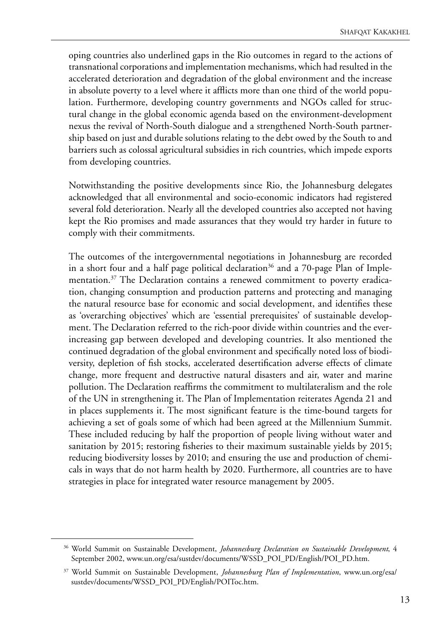oping countries also underlined gaps in the Rio outcomes in regard to the actions of transnational corporations and implementation mechanisms, which had resulted in the accelerated deterioration and degradation of the global environment and the increase in absolute poverty to a level where it afflicts more than one third of the world population. Furthermore, developing country governments and NGOs called for structural change in the global economic agenda based on the environment-development nexus the revival of North-South dialogue and a strengthened North-South partnership based on just and durable solutions relating to the debt owed by the South to and barriers such as colossal agricultural subsidies in rich countries, which impede exports from developing countries.

Notwithstanding the positive developments since Rio, the Johannesburg delegates acknowledged that all environmental and socio-economic indicators had registered several fold deterioration. Nearly all the developed countries also accepted not having kept the Rio promises and made assurances that they would try harder in future to comply with their commitments.

The outcomes of the intergovernmental negotiations in Johannesburg are recorded in a short four and a half page political declaration<sup>36</sup> and a 70-page Plan of Implementation.37 The Declaration contains a renewed commitment to poverty eradication, changing consumption and production patterns and protecting and managing the natural resource base for economic and social development, and identifies these as 'overarching objectives' which are 'essential prerequisites' of sustainable development. The Declaration referred to the rich-poor divide within countries and the everincreasing gap between developed and developing countries. It also mentioned the continued degradation of the global environment and specifically noted loss of biodiversity, depletion of fish stocks, accelerated desertification adverse effects of climate change, more frequent and destructive natural disasters and air, water and marine pollution. The Declaration reaffirms the commitment to multilateralism and the role of the UN in strengthening it. The Plan of Implementation reiterates Agenda 21 and in places supplements it. The most significant feature is the time-bound targets for achieving a set of goals some of which had been agreed at the Millennium Summit. These included reducing by half the proportion of people living without water and sanitation by 2015; restoring fisheries to their maximum sustainable yields by 2015; reducing biodiversity losses by 2010; and ensuring the use and production of chemicals in ways that do not harm health by 2020. Furthermore, all countries are to have strategies in place for integrated water resource management by 2005.

<sup>36</sup> World Summit on Sustainable Development, *Johannesburg Declaration on Sustainable Development*, 4 September 2002, www.un.org/esa/sustdev/documents/WSSD\_POI\_PD/English/POI\_PD.htm.

<sup>37</sup> World Summit on Sustainable Development, *Johannesburg Plan of Implementation*, www.un.org/esa/ sustdev/documents/WSSD\_POI\_PD/English/POIToc.htm.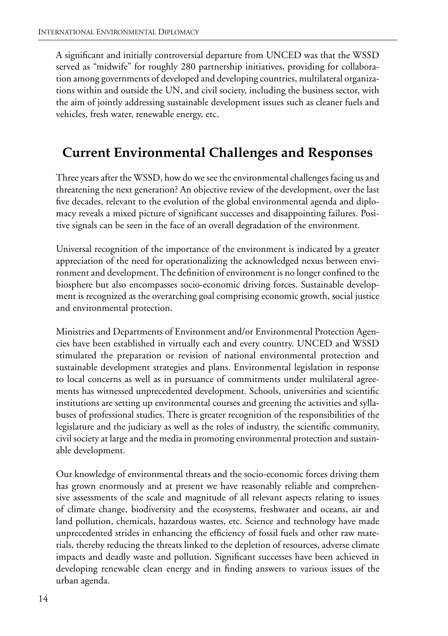A significant and initially controversial departure from UNCED was that the WSSD served as "midwife" for roughly 280 partnership initiatives, providing for collaboration among governments of developed and developing countries, multilateral organizations within and outside the UN, and civil society, including the business sector, with the aim of jointly addressing sustainable development issues such as cleaner fuels and vehicles, fresh water, renewable energy, etc.

# **Current Environmental Challenges and Responses**

Three years after the WSSD, how do we see the environmental challenges facing us and threatening the next generation? An objective review of the development, over the last five decades, relevant to the evolution of the global environmental agenda and diplomacy reveals a mixed picture of significant successes and disappointing failures. Positive signals can be seen in the face of an overall degradation of the environment.

Universal recognition of the importance of the environment is indicated by a greater appreciation of the need for operationalizing the acknowledged nexus between environment and development. The definition of environment is no longer confined to the biosphere but also encompasses socio-economic driving forces. Sustainable development is recognized as the overarching goal comprising economic growth, social justice and environmental protection.

Ministries and Departments of Environment and/or Environmental Protection Agencies have been established in virtually each and every country. UNCED and WSSD stimulated the preparation or revision of national environmental protection and sustainable development strategies and plans. Environmental legislation in response to local concerns as well as in pursuance of commitments under multilateral agreements has witnessed unprecedented development. Schools, universities and scientific institutions are setting up environmental courses and greening the activities and syllabuses of professional studies. There is greater recognition of the responsibilities of the legislature and the judiciary as well as the roles of industry, the scientific community, civil society at large and the media in promoting environmental protection and sustainable development.

Our knowledge of environmental threats and the socio-economic forces driving them has grown enormously and at present we have reasonably reliable and comprehensive assessments of the scale and magnitude of all relevant aspects relating to issues of climate change, biodiversity and the ecosystems, freshwater and oceans, air and land pollution, chemicals, hazardous wastes, etc. Science and technology have made unprecedented strides in enhancing the efficiency of fossil fuels and other raw materials, thereby reducing the threats linked to the depletion of resources, adverse climate impacts and deadly waste and pollution. Significant successes have been achieved in developing renewable clean energy and in finding answers to various issues of the urban agenda.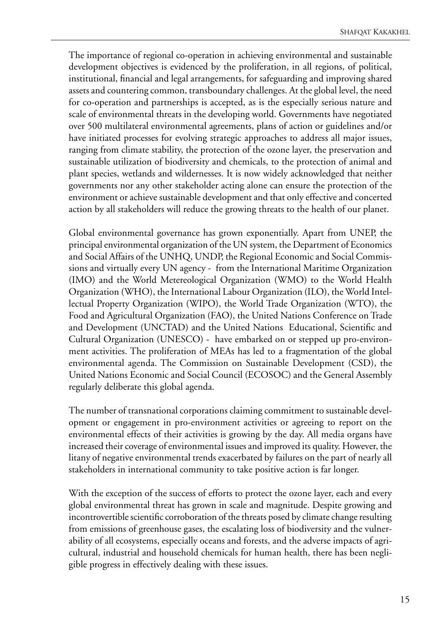The importance of regional co-operation in achieving environmental and sustainable development objectives is evidenced by the proliferation, in all regions, of political, institutional, financial and legal arrangements, for safeguarding and improving shared assets and countering common, transboundary challenges. At the global level, the need for co-operation and partnerships is accepted, as is the especially serious nature and scale of environmental threats in the developing world. Governments have negotiated over 500 multilateral environmental agreements, plans of action or guidelines and/or have initiated processes for evolving strategic approaches to address all major issues, ranging from climate stability, the protection of the ozone layer, the preservation and sustainable utilization of biodiversity and chemicals, to the protection of animal and plant species, wetlands and wildernesses. It is now widely acknowledged that neither governments nor any other stakeholder acting alone can ensure the protection of the environment or achieve sustainable development and that only effective and concerted action by all stakeholders will reduce the growing threats to the health of our planet.

Global environmental governance has grown exponentially. Apart from UNEP, the principal environmental organization of the UN system, the Department of Economics and Social Affairs of the UNHQ, UNDP, the Regional Economic and Social Commissions and virtually every UN agency - from the International Maritime Organization (IMO) and the World Metereological Organization (WMO) to the World Health Organization (WHO), the International Labour Organization (ILO), the World Intellectual Property Organization (WIPO), the World Trade Organization (WTO), the Food and Agricultural Organization (FAO), the United Nations Conference on Trade and Development (UNCTAD) and the United Nations Educational, Scientific and Cultural Organization (UNESCO) - have embarked on or stepped up pro-environment activities. The proliferation of MEAs has led to a fragmentation of the global environmental agenda. The Commission on Sustainable Development (CSD), the United Nations Economic and Social Council (ECOSOC) and the General Assembly regularly deliberate this global agenda.

The number of transnational corporations claiming commitment to sustainable development or engagement in pro-environment activities or agreeing to report on the environmental effects of their activities is growing by the day. All media organs have increased their coverage of environmental issues and improved its quality. However, the litany of negative environmental trends exacerbated by failures on the part of nearly all stakeholders in international community to take positive action is far longer.

With the exception of the success of efforts to protect the ozone layer, each and every global environmental threat has grown in scale and magnitude. Despite growing and incontrovertible scientific corroboration of the threats posed by climate change resulting from emissions of greenhouse gases, the escalating loss of biodiversity and the vulnerability of all ecosystems, especially oceans and forests, and the adverse impacts of agricultural, industrial and household chemicals for human health, there has been negligible progress in effectively dealing with these issues.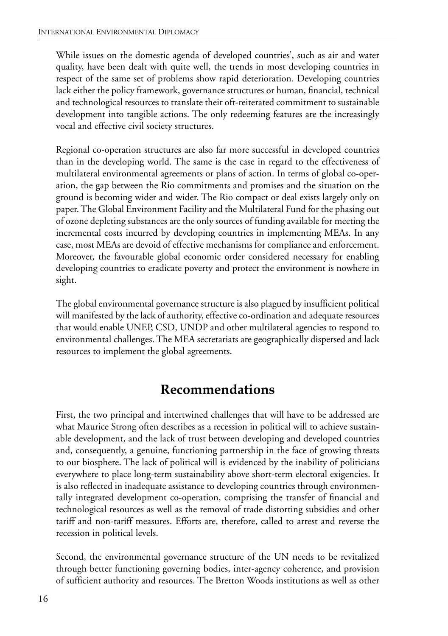While issues on the domestic agenda of developed countries', such as air and water quality, have been dealt with quite well, the trends in most developing countries in respect of the same set of problems show rapid deterioration. Developing countries lack either the policy framework, governance structures or human, financial, technical and technological resources to translate their oft-reiterated commitment to sustainable development into tangible actions. The only redeeming features are the increasingly vocal and effective civil society structures.

Regional co-operation structures are also far more successful in developed countries than in the developing world. The same is the case in regard to the effectiveness of multilateral environmental agreements or plans of action. In terms of global co-operation, the gap between the Rio commitments and promises and the situation on the ground is becoming wider and wider. The Rio compact or deal exists largely only on paper. The Global Environment Facility and the Multilateral Fund for the phasing out of ozone depleting substances are the only sources of funding available for meeting the incremental costs incurred by developing countries in implementing MEAs. In any case, most MEAs are devoid of effective mechanisms for compliance and enforcement. Moreover, the favourable global economic order considered necessary for enabling developing countries to eradicate poverty and protect the environment is nowhere in sight.

The global environmental governance structure is also plagued by insufficient political will manifested by the lack of authority, effective co-ordination and adequate resources that would enable UNEP, CSD, UNDP and other multilateral agencies to respond to environmental challenges. The MEA secretariats are geographically dispersed and lack resources to implement the global agreements.

## **Recommendations**

First, the two principal and intertwined challenges that will have to be addressed are what Maurice Strong often describes as a recession in political will to achieve sustainable development, and the lack of trust between developing and developed countries and, consequently, a genuine, functioning partnership in the face of growing threats to our biosphere. The lack of political will is evidenced by the inability of politicians everywhere to place long-term sustainability above short-term electoral exigencies. It is also reflected in inadequate assistance to developing countries through environmentally integrated development co-operation, comprising the transfer of financial and technological resources as well as the removal of trade distorting subsidies and other tariff and non-tariff measures. Efforts are, therefore, called to arrest and reverse the recession in political levels.

Second, the environmental governance structure of the UN needs to be revitalized through better functioning governing bodies, inter-agency coherence, and provision of sufficient authority and resources. The Bretton Woods institutions as well as other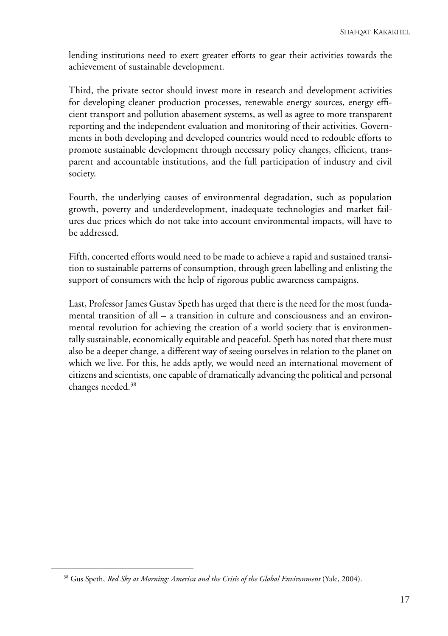lending institutions need to exert greater efforts to gear their activities towards the achievement of sustainable development.

Third, the private sector should invest more in research and development activities for developing cleaner production processes, renewable energy sources, energy efficient transport and pollution abasement systems, as well as agree to more transparent reporting and the independent evaluation and monitoring of their activities. Governments in both developing and developed countries would need to redouble efforts to promote sustainable development through necessary policy changes, efficient, transparent and accountable institutions, and the full participation of industry and civil society.

Fourth, the underlying causes of environmental degradation, such as population growth, poverty and underdevelopment, inadequate technologies and market failures due prices which do not take into account environmental impacts, will have to be addressed.

Fifth, concerted efforts would need to be made to achieve a rapid and sustained transition to sustainable patterns of consumption, through green labelling and enlisting the support of consumers with the help of rigorous public awareness campaigns.

Last, Professor James Gustav Speth has urged that there is the need for the most fundamental transition of all – a transition in culture and consciousness and an environmental revolution for achieving the creation of a world society that is environmentally sustainable, economically equitable and peaceful. Speth has noted that there must also be a deeper change, a different way of seeing ourselves in relation to the planet on which we live. For this, he adds aptly, we would need an international movement of citizens and scientists, one capable of dramatically advancing the political and personal changes needed.38

<sup>38</sup> Gus Speth, *Red Sky at Morning: America and the Crisis of the Global Environment* (Yale, 2004).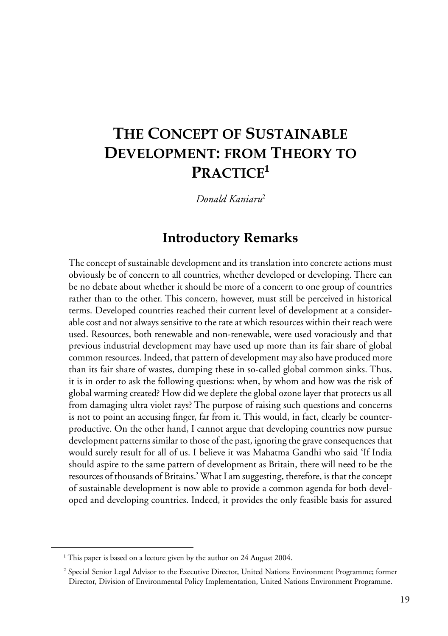# <span id="page-28-0"></span>**THE CONCEPT OF SUSTAINABLE DEVELOPMENT: FROM THEORY TO PRACTICE1**

*Donald Kaniaru*<sup>2</sup>

### **Introductory Remarks**

The concept of sustainable development and its translation into concrete actions must obviously be of concern to all countries, whether developed or developing. There can be no debate about whether it should be more of a concern to one group of countries rather than to the other. This concern, however, must still be perceived in historical terms. Developed countries reached their current level of development at a considerable cost and not always sensitive to the rate at which resources within their reach were used. Resources, both renewable and non-renewable, were used voraciously and that previous industrial development may have used up more than its fair share of global common resources. Indeed, that pattern of development may also have produced more than its fair share of wastes, dumping these in so-called global common sinks. Thus, it is in order to ask the following questions: when, by whom and how was the risk of global warming created? How did we deplete the global ozone layer that protects us all from damaging ultra violet rays? The purpose of raising such questions and concerns is not to point an accusing finger, far from it. This would, in fact, clearly be counterproductive. On the other hand, I cannot argue that developing countries now pursue development patterns similar to those of the past, ignoring the grave consequences that would surely result for all of us. I believe it was Mahatma Gandhi who said 'If India should aspire to the same pattern of development as Britain, there will need to be the resources of thousands of Britains.' What I am suggesting, therefore, is that the concept of sustainable development is now able to provide a common agenda for both developed and developing countries. Indeed, it provides the only feasible basis for assured

<sup>&</sup>lt;sup>1</sup> This paper is based on a lecture given by the author on 24 August 2004.

<sup>2</sup> Special Senior Legal Advisor to the Executive Director, United Nations Environment Programme; former Director, Division of Environmental Policy Implementation, United Nations Environment Programme.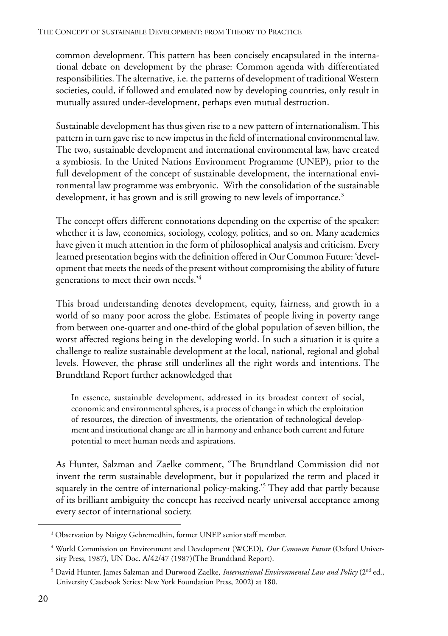common development. This pattern has been concisely encapsulated in the international debate on development by the phrase: Common agenda with differentiated responsibilities. The alternative, i.e. the patterns of development of traditional Western societies, could, if followed and emulated now by developing countries, only result in mutually assured under-development, perhaps even mutual destruction.

Sustainable development has thus given rise to a new pattern of internationalism. This pattern in turn gave rise to new impetus in the field of international environmental law. The two, sustainable development and international environmental law, have created a symbiosis. In the United Nations Environment Programme (UNEP), prior to the full development of the concept of sustainable development, the international environmental law programme was embryonic. With the consolidation of the sustainable development, it has grown and is still growing to new levels of importance.<sup>3</sup>

The concept offers different connotations depending on the expertise of the speaker: whether it is law, economics, sociology, ecology, politics, and so on. Many academics have given it much attention in the form of philosophical analysis and criticism. Every learned presentation begins with the definition offered in Our Common Future: 'development that meets the needs of the present without compromising the ability of future generations to meet their own needs.'4

This broad understanding denotes development, equity, fairness, and growth in a world of so many poor across the globe. Estimates of people living in poverty range from between one-quarter and one-third of the global population of seven billion, the worst affected regions being in the developing world. In such a situation it is quite a challenge to realize sustainable development at the local, national, regional and global levels. However, the phrase still underlines all the right words and intentions. The Brundtland Report further acknowledged that

In essence, sustainable development, addressed in its broadest context of social, economic and environmental spheres, is a process of change in which the exploitation of resources, the direction of investments, the orientation of technological development and institutional change are all in harmony and enhance both current and future potential to meet human needs and aspirations.

As Hunter, Salzman and Zaelke comment, 'The Brundtland Commission did not invent the term sustainable development, but it popularized the term and placed it squarely in the centre of international policy-making.<sup>35</sup> They add that partly because of its brilliant ambiguity the concept has received nearly universal acceptance among every sector of international society.

<sup>&</sup>lt;sup>3</sup> Observation by Naigzy Gebremedhin, former UNEP senior staff member.

<sup>4</sup> World Commission on Environment and Development (WCED), *Our Common Future* (Oxford University Press, 1987), UN Doc. A/42/47 (1987)(The Brundtland Report).

<sup>&</sup>lt;sup>5</sup> David Hunter, James Salzman and Durwood Zaelke, *International Environmental Law and Policy* (2<sup>nd</sup> ed., University Casebook Series: New York Foundation Press, 2002) at 180.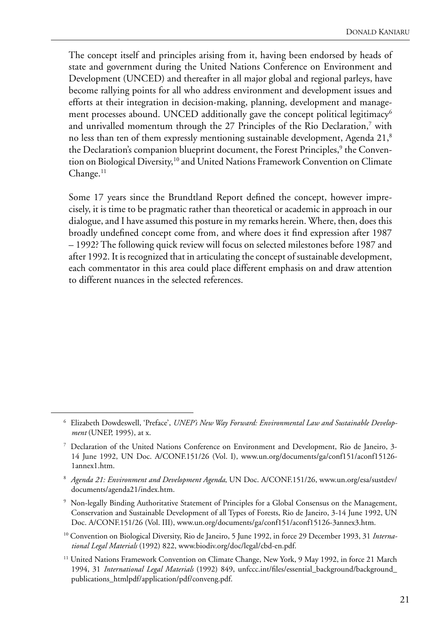The concept itself and principles arising from it, having been endorsed by heads of state and government during the United Nations Conference on Environment and Development (UNCED) and thereafter in all major global and regional parleys, have become rallying points for all who address environment and development issues and efforts at their integration in decision-making, planning, development and management processes abound. UNCED additionally gave the concept political legitimacy<sup>6</sup> and unrivalled momentum through the 27 Principles of the Rio Declaration,<sup>7</sup> with no less than ten of them expressly mentioning sustainable development, Agenda 21, $^8$ the Declaration's companion blueprint document, the Forest Principles,<sup>9</sup> the Convention on Biological Diversity,<sup>10</sup> and United Nations Framework Convention on Climate  $Change.<sup>11</sup>$ 

Some 17 years since the Brundtland Report defined the concept, however imprecisely, it is time to be pragmatic rather than theoretical or academic in approach in our dialogue, and I have assumed this posture in my remarks herein. Where, then, does this broadly undefined concept come from, and where does it find expression after 1987 – 1992? The following quick review will focus on selected milestones before 1987 and after 1992. It is recognized that in articulating the concept of sustainable development, each commentator in this area could place different emphasis on and draw attention to different nuances in the selected references.

- 9 Non-legally Binding Authoritative Statement of Principles for a Global Consensus on the Management, Conservation and Sustainable Development of all Types of Forests, Rio de Janeiro, 3-14 June 1992, UN Doc. A/CONF.151/26 (Vol. III), www.un.org/documents/ga/conf151/aconf15126-3annex3.htm.
- 10 Convention on Biological Diversity, Rio de Janeiro, 5 June 1992, in force 29 December 1993, 31 *International Legal Materials* (1992) 822, www.biodiv.org/doc/legal/cbd-en.pdf.
- <sup>11</sup> United Nations Framework Convention on Climate Change, New York, 9 May 1992, in force 21 March 1994, 31 *International Legal Materials* (1992) 849, unfccc.int/files/essential\_background/background\_ publications\_htmlpdf/application/pdf/conveng.pdf.

<sup>6</sup> Elizabeth Dowdeswell, 'Preface', *UNEP's New Way Forward: Environmental Law and Sustainable Development* (UNEP, 1995), at x.

<sup>7</sup> Declaration of the United Nations Conference on Environment and Development, Rio de Janeiro, 3- 14 June 1992, UN Doc. A/CONF.151/26 (Vol. I), www.un.org/documents/ga/conf151/aconf15126- 1annex1.htm.

<sup>8</sup> *Agenda 21: Environment and Development Agenda*, UN Doc. A/CONF.151/26, www.un.org/esa/sustdev/ documents/agenda21/index.htm.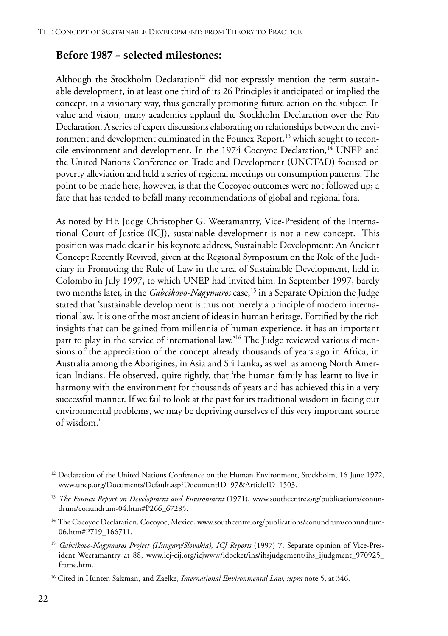#### **Before 1987 – selected milestones:**

Although the Stockholm Declaration<sup>12</sup> did not expressly mention the term sustainable development, in at least one third of its 26 Principles it anticipated or implied the concept, in a visionary way, thus generally promoting future action on the subject. In value and vision, many academics applaud the Stockholm Declaration over the Rio Declaration. A series of expert discussions elaborating on relationships between the environment and development culminated in the Founex Report,<sup>13</sup> which sought to reconcile environment and development. In the 1974 Cocoyoc Declaration,<sup>14</sup> UNEP and the United Nations Conference on Trade and Development (UNCTAD) focused on poverty alleviation and held a series of regional meetings on consumption patterns. The point to be made here, however, is that the Cocoyoc outcomes were not followed up; a fate that has tended to befall many recommendations of global and regional fora.

As noted by HE Judge Christopher G. Weeramantry, Vice-President of the International Court of Justice (ICJ), sustainable development is not a new concept. This position was made clear in his keynote address, Sustainable Development: An Ancient Concept Recently Revived, given at the Regional Symposium on the Role of the Judiciary in Promoting the Rule of Law in the area of Sustainable Development, held in Colombo in July 1997, to which UNEP had invited him. In September 1997, barely two months later, in the *Gabcikovo-Nagymaros* case,<sup>15</sup> in a Separate Opinion the Judge stated that 'sustainable development is thus not merely a principle of modern international law. It is one of the most ancient of ideas in human heritage. Fortified by the rich insights that can be gained from millennia of human experience, it has an important part to play in the service of international law.'16 The Judge reviewed various dimensions of the appreciation of the concept already thousands of years ago in Africa, in Australia among the Aborigines, in Asia and Sri Lanka, as well as among North American Indians. He observed, quite rightly, that 'the human family has learnt to live in harmony with the environment for thousands of years and has achieved this in a very successful manner. If we fail to look at the past for its traditional wisdom in facing our environmental problems, we may be depriving ourselves of this very important source of wisdom.'

<sup>&</sup>lt;sup>12</sup> Declaration of the United Nations Conference on the Human Environment, Stockholm, 16 June 1972, www.unep.org/Documents/Default.asp?DocumentID=97&ArticleID=1503.

<sup>&</sup>lt;sup>13</sup> *The Founex Report on Development and Environment* (1971), www.southcentre.org/publications/conundrum/conundrum-04.htm#P266\_67285.

<sup>&</sup>lt;sup>14</sup> The Cocoyoc Declaration, Cocoyoc, Mexico, www.southcentre.org/publications/conundrum/conundrum-06.htm#P719\_166711.

<sup>15</sup> *Gabcikovo-Nagymaros Project (Hungary/Slovakia)*, *ICJ Reports* (1997) 7, Separate opinion of Vice-President Weeramantry at 88, www.icj-cij.org/icjwww/idocket/ihs/ihsjudgement/ihs\_ijudgment\_970925\_ frame.htm.

<sup>16</sup> Cited in Hunter, Salzman, and Zaelke, *International Environmental Law*, *supra* note 5, at 346.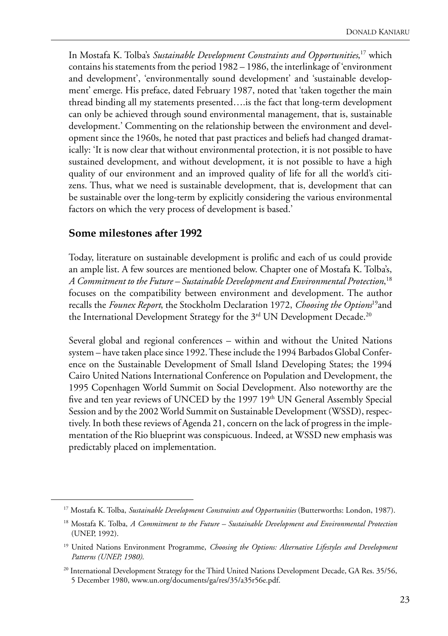In Mostafa K. Tolba's *Sustainable Development Constraints and Opportunities*, 17 which contains his statements from the period 1982 – 1986, the interlinkage of 'environment and development', 'environmentally sound development' and 'sustainable development' emerge. His preface, dated February 1987, noted that 'taken together the main thread binding all my statements presented….is the fact that long-term development can only be achieved through sound environmental management, that is, sustainable development.' Commenting on the relationship between the environment and development since the 1960s, he noted that past practices and beliefs had changed dramatically: 'It is now clear that without environmental protection, it is not possible to have sustained development, and without development, it is not possible to have a high quality of our environment and an improved quality of life for all the world's citizens. Thus, what we need is sustainable development, that is, development that can be sustainable over the long-term by explicitly considering the various environmental factors on which the very process of development is based.'

#### **Some milestones after 1992**

Today, literature on sustainable development is prolific and each of us could provide an ample list. A few sources are mentioned below. Chapter one of Mostafa K. Tolba's, *A Commitment to the Future – Sustainable Development and Environmental Protection*, 18 focuses on the compatibility between environment and development. The author recalls the *Founex Report*, the Stockholm Declaration 1972, *Choosing the Options*19and the International Development Strategy for the 3<sup>rd</sup> UN Development Decade.<sup>20</sup>

Several global and regional conferences – within and without the United Nations system – have taken place since 1992. These include the 1994 Barbados Global Conference on the Sustainable Development of Small Island Developing States; the 1994 Cairo United Nations International Conference on Population and Development, the 1995 Copenhagen World Summit on Social Development. Also noteworthy are the five and ten year reviews of UNCED by the  $1997 19<sup>th</sup>$  UN General Assembly Special Session and by the 2002 World Summit on Sustainable Development (WSSD), respectively. In both these reviews of Agenda 21, concern on the lack of progress in the implementation of the Rio blueprint was conspicuous. Indeed, at WSSD new emphasis was predictably placed on implementation.

<sup>&</sup>lt;sup>17</sup> Mostafa K. Tolba, *Sustainable Development Constraints and Opportunities* (Butterworths: London, 1987).

<sup>18</sup> Mostafa K. Tolba, *A Commitment to the Future – Sustainable Development and Environmental Protection* (UNEP, 1992).

<sup>&</sup>lt;sup>19</sup> United Nations Environment Programme, *Choosing the Options: Alternative Lifestyles and Development Patterns (UNEP, 1980)*.

<sup>&</sup>lt;sup>20</sup> International Development Strategy for the Third United Nations Development Decade, GA Res. 35/56, 5 December 1980, www.un.org/documents/ga/res/35/a35r56e.pdf.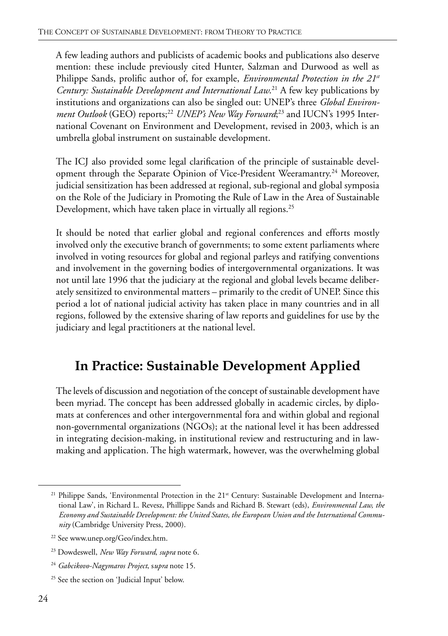A few leading authors and publicists of academic books and publications also deserve mention: these include previously cited Hunter, Salzman and Durwood as well as Philippe Sands, prolific author of, for example, *Environmental Protection in the 21st Century: Sustainable Development and International Law*. 21 A few key publications by institutions and organizations can also be singled out: UNEP's three *Global Environ*ment Outlook (GEO) reports;<sup>22</sup> UNEP's New Way Forward;<sup>23</sup> and IUCN's 1995 International Covenant on Environment and Development, revised in 2003, which is an umbrella global instrument on sustainable development.

The ICJ also provided some legal clarification of the principle of sustainable development through the Separate Opinion of Vice-President Weeramantry.<sup>24</sup> Moreover, judicial sensitization has been addressed at regional, sub-regional and global symposia on the Role of the Judiciary in Promoting the Rule of Law in the Area of Sustainable Development, which have taken place in virtually all regions.<sup>25</sup>

It should be noted that earlier global and regional conferences and efforts mostly involved only the executive branch of governments; to some extent parliaments where involved in voting resources for global and regional parleys and ratifying conventions and involvement in the governing bodies of intergovernmental organizations. It was not until late 1996 that the judiciary at the regional and global levels became deliberately sensitized to environmental matters – primarily to the credit of UNEP. Since this period a lot of national judicial activity has taken place in many countries and in all regions, followed by the extensive sharing of law reports and guidelines for use by the judiciary and legal practitioners at the national level.

# **In Practice: Sustainable Development Applied**

The levels of discussion and negotiation of the concept of sustainable development have been myriad. The concept has been addressed globally in academic circles, by diplomats at conferences and other intergovernmental fora and within global and regional non-governmental organizations (NGOs); at the national level it has been addressed in integrating decision-making, in institutional review and restructuring and in lawmaking and application. The high watermark, however, was the overwhelming global

<sup>&</sup>lt;sup>21</sup> Philippe Sands, 'Environmental Protection in the 21<sup>st</sup> Century: Sustainable Development and International Law', in Richard L. Revesz, Phillippe Sands and Richard B. Stewart (eds), *Environmental Law, the Economy and Sustainable Development: the United States, the European Union and the International Community* (Cambridge University Press, 2000).

<sup>22</sup> See www.unep.org/Geo/index.htm.

<sup>23</sup> Dowdeswell, *New Way Forward*, *supra* note 6.

<sup>24</sup> *Gabcikovo-Nagymaros Project*, s*upra* note 15.

<sup>25</sup> See the section on 'Judicial Input' below.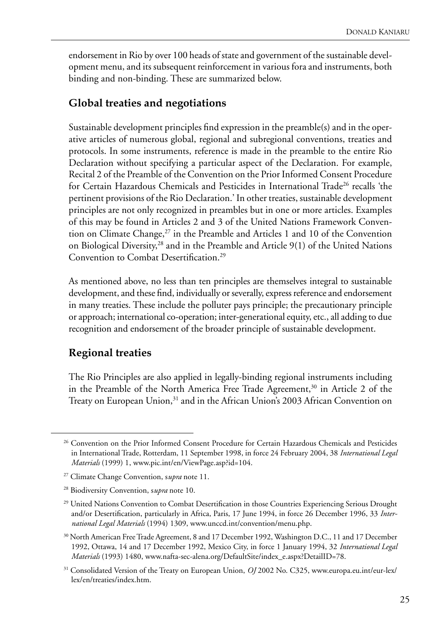endorsement in Rio by over 100 heads of state and government of the sustainable development menu, and its subsequent reinforcement in various fora and instruments, both binding and non-binding. These are summarized below.

#### **Global treaties and negotiations**

Sustainable development principles find expression in the preamble(s) and in the operative articles of numerous global, regional and subregional conventions, treaties and protocols. In some instruments, reference is made in the preamble to the entire Rio Declaration without specifying a particular aspect of the Declaration. For example, Recital 2 of the Preamble of the Convention on the Prior Informed Consent Procedure for Certain Hazardous Chemicals and Pesticides in International Trade<sup>26</sup> recalls 'the pertinent provisions of the Rio Declaration.' In other treaties, sustainable development principles are not only recognized in preambles but in one or more articles. Examples of this may be found in Articles 2 and 3 of the United Nations Framework Convention on Climate Change, $27$  in the Preamble and Articles 1 and 10 of the Convention on Biological Diversity,28 and in the Preamble and Article 9(1) of the United Nations Convention to Combat Desertification.<sup>29</sup>

As mentioned above, no less than ten principles are themselves integral to sustainable development, and these find, individually or severally, express reference and endorsement in many treaties. These include the polluter pays principle; the precautionary principle or approach; international co-operation; inter-generational equity, etc., all adding to due recognition and endorsement of the broader principle of sustainable development.

#### **Regional treaties**

The Rio Principles are also applied in legally-binding regional instruments including in the Preamble of the North America Free Trade Agreement,<sup>30</sup> in Article 2 of the Treaty on European Union,<sup>31</sup> and in the African Union's 2003 African Convention on

<sup>&</sup>lt;sup>26</sup> Convention on the Prior Informed Consent Procedure for Certain Hazardous Chemicals and Pesticides in International Trade, Rotterdam, 11 September 1998, in force 24 February 2004, 38 *International Legal Materials* (1999) 1, www.pic.int/en/ViewPage.asp?id=104.

<sup>27</sup> Climate Change Convention, s*upra* note 11.

<sup>28</sup> Biodiversity Convention, s*upra* note 10.

<sup>&</sup>lt;sup>29</sup> United Nations Convention to Combat Desertification in those Countries Experiencing Serious Drought and/or Desertification, particularly in Africa, Paris, 17 June 1994, in force 26 December 1996, 33 *International Legal Materials* (1994) 1309, www.unccd.int/convention/menu.php.

<sup>&</sup>lt;sup>30</sup> North American Free Trade Agreement, 8 and 17 December 1992, Washington D.C., 11 and 17 December 1992, Ottawa, 14 and 17 December 1992, Mexico City, in force 1 January 1994, 32 *International Legal Materials* (1993) 1480, www.nafta-sec-alena.org/DefaultSite/index\_e.aspx?DetailID=78.

<sup>31</sup> Consolidated Version of the Treaty on European Union, *OJ* 2002 No. C325, www.europa.eu.int/eur-lex/ lex/en/treaties/index.htm.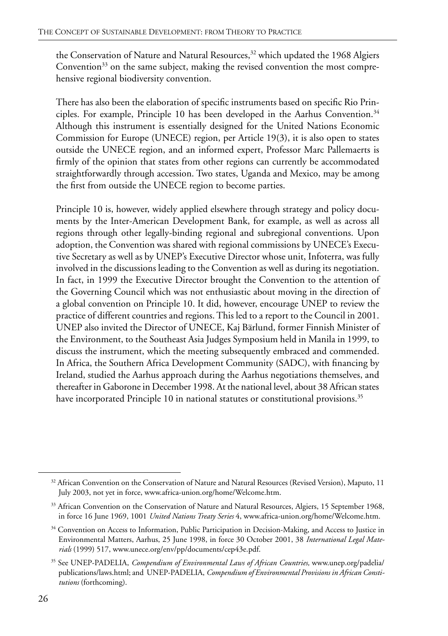the Conservation of Nature and Natural Resources,<sup>32</sup> which updated the 1968 Algiers Convention<sup>33</sup> on the same subject, making the revised convention the most comprehensive regional biodiversity convention.

There has also been the elaboration of specific instruments based on specific Rio Principles. For example, Principle 10 has been developed in the Aarhus Convention.<sup>34</sup> Although this instrument is essentially designed for the United Nations Economic Commission for Europe (UNECE) region, per Article 19(3), it is also open to states outside the UNECE region, and an informed expert, Professor Marc Pallemaerts is firmly of the opinion that states from other regions can currently be accommodated straightforwardly through accession. Two states, Uganda and Mexico, may be among the first from outside the UNECE region to become parties.

Principle 10 is, however, widely applied elsewhere through strategy and policy documents by the Inter-American Development Bank, for example, as well as across all regions through other legally-binding regional and subregional conventions. Upon adoption, the Convention was shared with regional commissions by UNECE's Executive Secretary as well as by UNEP's Executive Director whose unit, Infoterra, was fully involved in the discussions leading to the Convention as well as during its negotiation. In fact, in 1999 the Executive Director brought the Convention to the attention of the Governing Council which was not enthusiastic about moving in the direction of a global convention on Principle 10. It did, however, encourage UNEP to review the practice of different countries and regions. This led to a report to the Council in 2001. UNEP also invited the Director of UNECE, Kaj Bärlund, former Finnish Minister of the Environment, to the Southeast Asia Judges Symposium held in Manila in 1999, to discuss the instrument, which the meeting subsequently embraced and commended. In Africa, the Southern Africa Development Community (SADC), with financing by Ireland, studied the Aarhus approach during the Aarhus negotiations themselves, and thereafter in Gaborone in December 1998. At the national level, about 38 African states have incorporated Principle 10 in national statutes or constitutional provisions.<sup>35</sup>

<sup>&</sup>lt;sup>32</sup> African Convention on the Conservation of Nature and Natural Resources (Revised Version), Maputo, 11 July 2003, not yet in force, www.africa-union.org/home/Welcome.htm.

<sup>&</sup>lt;sup>33</sup> African Convention on the Conservation of Nature and Natural Resources, Algiers, 15 September 1968, in force 16 June 1969, 1001 *United Nations Treaty Series* 4, www.africa-union.org/home/Welcome.htm.

<sup>&</sup>lt;sup>34</sup> Convention on Access to Information, Public Participation in Decision-Making, and Access to Justice in Environmental Matters, Aarhus, 25 June 1998, in force 30 October 2001, 38 *International Legal Materials* (1999) 517, www.unece.org/env/pp/documents/cep43e.pdf.

<sup>35</sup> See UNEP-PADELIA, *Compendium of Environmental Laws of African Countries,* www.unep.org/padelia/ publications/laws.html; and UNEP-PADELIA, *Compendium of Environmental Provisions in African Constitutions* (forthcoming).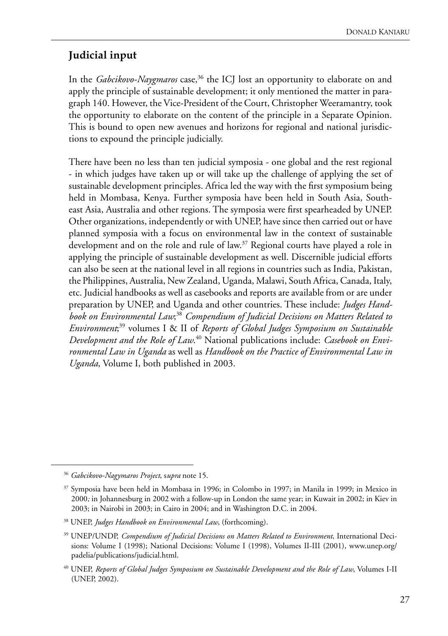#### **Judicial input**

In the *Gabcikovo-Naygmaros* case,<sup>36</sup> the ICJ lost an opportunity to elaborate on and apply the principle of sustainable development; it only mentioned the matter in paragraph 140. However, the Vice-President of the Court, Christopher Weeramantry, took the opportunity to elaborate on the content of the principle in a Separate Opinion. This is bound to open new avenues and horizons for regional and national jurisdictions to expound the principle judicially.

There have been no less than ten judicial symposia - one global and the rest regional - in which judges have taken up or will take up the challenge of applying the set of sustainable development principles. Africa led the way with the first symposium being held in Mombasa, Kenya. Further symposia have been held in South Asia, Southeast Asia, Australia and other regions. The symposia were first spearheaded by UNEP. Other organizations, independently or with UNEP, have since then carried out or have planned symposia with a focus on environmental law in the context of sustainable development and on the role and rule of law.<sup>37</sup> Regional courts have played a role in applying the principle of sustainable development as well. Discernible judicial efforts can also be seen at the national level in all regions in countries such as India, Pakistan, the Philippines, Australia, New Zealand, Uganda, Malawi, South Africa, Canada, Italy, etc. Judicial handbooks as well as casebooks and reports are available from or are under preparation by UNEP, and Uganda and other countries. These include: *Judges Handbook on Environmental Law*; <sup>38</sup> *Compendium of Judicial Decisions on Matters Related to Environment*; 39 volumes I & II of *Reports of Global Judges Symposium on Sustainable Development and the Role of Law*. 40 National publications include: *Casebook on Environmental Law in Uganda* as well as *Handbook on the Practice of Environmental Law in Uganda*, Volume I, both published in 2003.

<sup>36</sup> *Gabcikovo-Nagymaros Project*, s*upra* note 15.

<sup>37</sup> Symposia have been held in Mombasa in 1996; in Colombo in 1997; in Manila in 1999; in Mexico in 2000*;* in Johannesburg in 2002 with a follow-up in London the same year; in Kuwait in 2002; in Kiev in 2003; in Nairobi in 2003; in Cairo in 2004; and in Washington D.C. in 2004.

<sup>38</sup> UNEP, *Judges Handbook on Environmental Law*, (forthcoming).

<sup>39</sup> UNEP/UNDP, *Compendium of Judicial Decisions on Matters Related to Environment*, International Decisions: Volume I (1998); National Decisions: Volume I (1998), Volumes II-III (2001), www.unep.org/ padelia/publications/judicial.html.

<sup>40</sup> UNEP, *Reports of Global Judges Symposium on Sustainable Development and the Role of Law*, Volumes I-II (UNEP, 2002).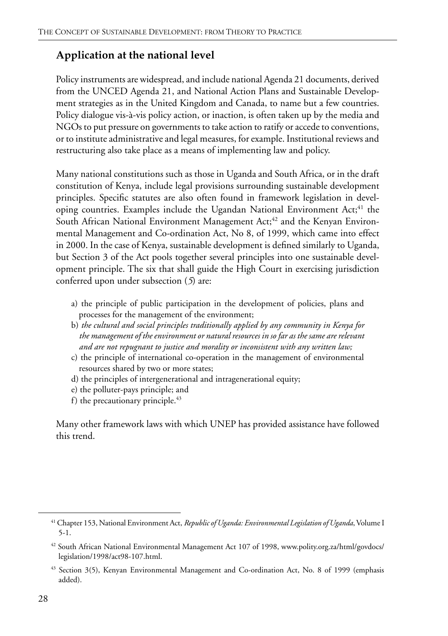#### **Application at the national level**

Policy instruments are widespread, and include national Agenda 21 documents, derived from the UNCED Agenda 21, and National Action Plans and Sustainable Development strategies as in the United Kingdom and Canada, to name but a few countries. Policy dialogue vis-à-vis policy action, or inaction, is often taken up by the media and NGOs to put pressure on governments to take action to ratify or accede to conventions, or to institute administrative and legal measures, for example. Institutional reviews and restructuring also take place as a means of implementing law and policy.

Many national constitutions such as those in Uganda and South Africa, or in the draft constitution of Kenya, include legal provisions surrounding sustainable development principles. Specific statutes are also often found in framework legislation in developing countries. Examples include the Ugandan National Environment Act;<sup>41</sup> the South African National Environment Management Act;<sup>42</sup> and the Kenyan Environmental Management and Co-ordination Act, No 8, of 1999, which came into effect in 2000. In the case of Kenya, sustainable development is defined similarly to Uganda, but Section 3 of the Act pools together several principles into one sustainable development principle. The six that shall guide the High Court in exercising jurisdiction conferred upon under subsection (*5*) are:

- a) the principle of public participation in the development of policies, plans and processes for the management of the environment;
- b) *the cultural and social principles traditionally applied by any community in Kenya for the management of the environment or natural resources in so far as the same are relevant and are not repugnant to justice and morality or inconsistent with any written law;*
- c) the principle of international co-operation in the management of environmental resources shared by two or more states;
- d) the principles of intergenerational and intragenerational equity;
- e) the polluter-pays principle; and
- f) the precautionary principle. $43$

Many other framework laws with which UNEP has provided assistance have followed this trend.

<sup>41</sup> Chapter 153, National Environment Act, *Republic of Uganda: Environmental Legislation of Uganda*, Volume I 5-1.

<sup>42</sup> South African National Environmental Management Act 107 of 1998, www.polity.org.za/html/govdocs/ legislation/1998/act98-107.html.

<sup>&</sup>lt;sup>43</sup> Section 3(5), Kenyan Environmental Management and Co-ordination Act, No. 8 of 1999 (emphasis added).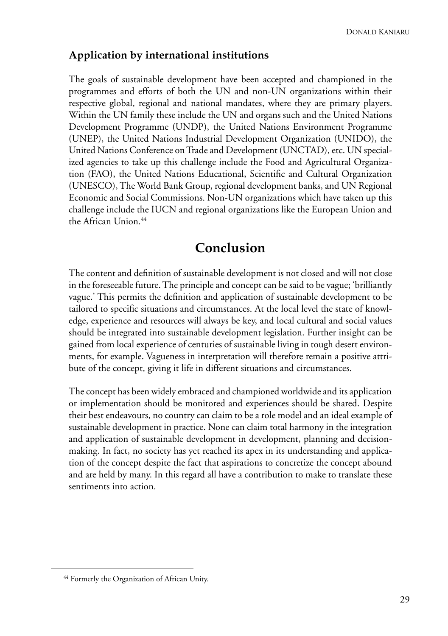#### **Application by international institutions**

The goals of sustainable development have been accepted and championed in the programmes and efforts of both the UN and non-UN organizations within their respective global, regional and national mandates, where they are primary players. Within the UN family these include the UN and organs such and the United Nations Development Programme (UNDP), the United Nations Environment Programme (UNEP), the United Nations Industrial Development Organization (UNIDO), the United Nations Conference on Trade and Development (UNCTAD), etc. UN specialized agencies to take up this challenge include the Food and Agricultural Organization (FAO), the United Nations Educational, Scientific and Cultural Organization (UNESCO), The World Bank Group, regional development banks, and UN Regional Economic and Social Commissions. Non-UN organizations which have taken up this challenge include the IUCN and regional organizations like the European Union and the African Union.<sup>44</sup>

## **Conclusion**

The content and definition of sustainable development is not closed and will not close in the foreseeable future. The principle and concept can be said to be vague; 'brilliantly vague.' This permits the definition and application of sustainable development to be tailored to specific situations and circumstances. At the local level the state of knowledge, experience and resources will always be key, and local cultural and social values should be integrated into sustainable development legislation. Further insight can be gained from local experience of centuries of sustainable living in tough desert environments, for example. Vagueness in interpretation will therefore remain a positive attribute of the concept, giving it life in different situations and circumstances.

The concept has been widely embraced and championed worldwide and its application or implementation should be monitored and experiences should be shared. Despite their best endeavours, no country can claim to be a role model and an ideal example of sustainable development in practice. None can claim total harmony in the integration and application of sustainable development in development, planning and decisionmaking. In fact, no society has yet reached its apex in its understanding and application of the concept despite the fact that aspirations to concretize the concept abound and are held by many. In this regard all have a contribution to make to translate these sentiments into action.

<sup>&</sup>lt;sup>44</sup> Formerly the Organization of African Unity.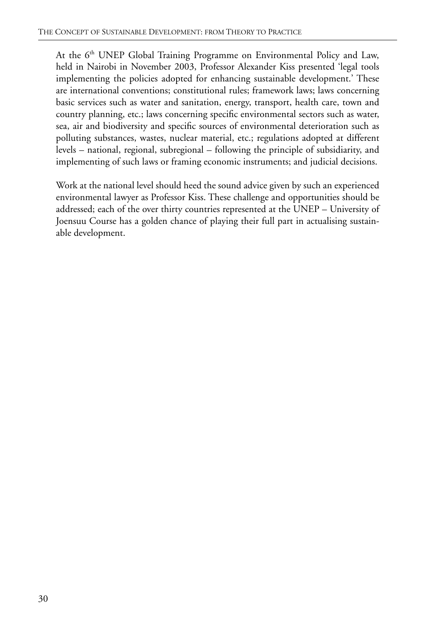At the 6<sup>th</sup> UNEP Global Training Programme on Environmental Policy and Law, held in Nairobi in November 2003, Professor Alexander Kiss presented 'legal tools implementing the policies adopted for enhancing sustainable development.' These are international conventions; constitutional rules; framework laws; laws concerning basic services such as water and sanitation, energy, transport, health care, town and country planning, etc.; laws concerning specific environmental sectors such as water, sea, air and biodiversity and specific sources of environmental deterioration such as polluting substances, wastes, nuclear material, etc.; regulations adopted at different levels – national, regional, subregional – following the principle of subsidiarity, and implementing of such laws or framing economic instruments; and judicial decisions.

Work at the national level should heed the sound advice given by such an experienced environmental lawyer as Professor Kiss. These challenge and opportunities should be addressed; each of the over thirty countries represented at the UNEP – University of Joensuu Course has a golden chance of playing their full part in actualising sustainable development.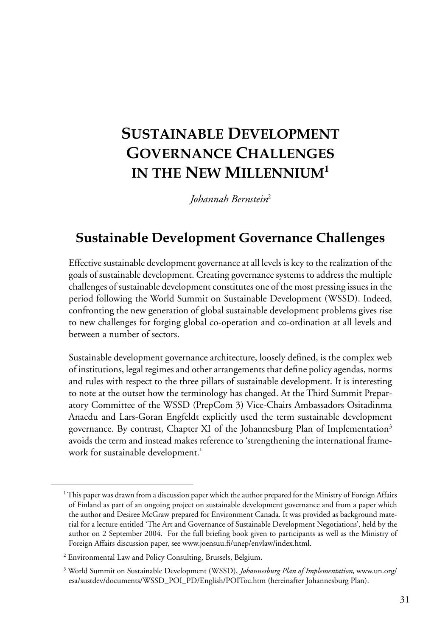# <span id="page-40-0"></span>**SUSTAINABLE DEVELOPMENT GOVERNANCE CHALLENGES IN THE NEW MILLENNIUM<sup>1</sup>**

*Johannah Bernstein*<sup>2</sup>

# **Sustainable Development Governance Challenges**

Effective sustainable development governance at all levels is key to the realization of the goals of sustainable development. Creating governance systems to address the multiple challenges of sustainable development constitutes one of the most pressing issues in the period following the World Summit on Sustainable Development (WSSD). Indeed, confronting the new generation of global sustainable development problems gives rise to new challenges for forging global co-operation and co-ordination at all levels and between a number of sectors.

Sustainable development governance architecture, loosely defined, is the complex web of institutions, legal regimes and other arrangements that define policy agendas, norms and rules with respect to the three pillars of sustainable development. It is interesting to note at the outset how the terminology has changed. At the Third Summit Preparatory Committee of the WSSD (PrepCom 3) Vice-Chairs Ambassadors Ositadinma Anaedu and Lars-Goran Engfeldt explicitly used the term sustainable development governance. By contrast, Chapter XI of the Johannesburg Plan of Implementation<sup>3</sup> avoids the term and instead makes reference to 'strengthening the international framework for sustainable development.'

<sup>1</sup> This paper was drawn from a discussion paper which the author prepared for the Ministry of Foreign Affairs of Finland as part of an ongoing project on sustainable development governance and from a paper which the author and Desiree McGraw prepared for Environment Canada. It was provided as background material for a lecture entitled 'The Art and Governance of Sustainable Development Negotiations', held by the author on 2 September 2004. For the full briefing book given to participants as well as the Ministry of Foreign Affairs discussion paper, see www.joensuu.fi/unep/envlaw/index.html.

<sup>2</sup> Environmental Law and Policy Consulting, Brussels, Belgium.

<sup>3</sup> World Summit on Sustainable Development (WSSD), *Johannesburg Plan of Implementation*, www.un.org/ esa/sustdev/documents/WSSD\_POI\_PD/English/POIToc.htm (hereinafter Johannesburg Plan).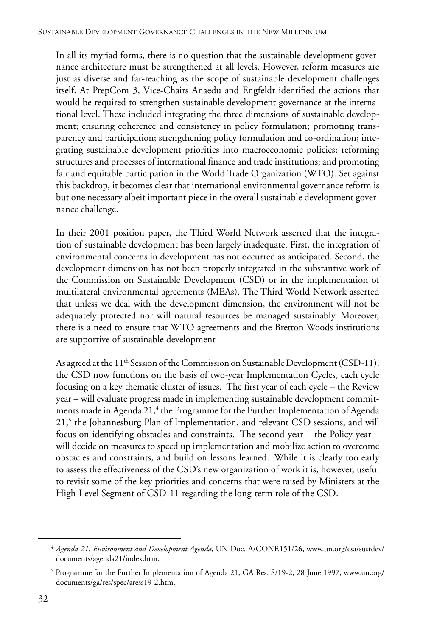In all its myriad forms, there is no question that the sustainable development governance architecture must be strengthened at all levels. However, reform measures are just as diverse and far-reaching as the scope of sustainable development challenges itself. At PrepCom 3, Vice-Chairs Anaedu and Engfeldt identified the actions that would be required to strengthen sustainable development governance at the international level. These included integrating the three dimensions of sustainable development; ensuring coherence and consistency in policy formulation; promoting transparency and participation; strengthening policy formulation and co-ordination; integrating sustainable development priorities into macroeconomic policies; reforming structures and processes of international finance and trade institutions; and promoting fair and equitable participation in the World Trade Organization (WTO). Set against this backdrop, it becomes clear that international environmental governance reform is but one necessary albeit important piece in the overall sustainable development governance challenge.

In their 2001 position paper, the Third World Network asserted that the integration of sustainable development has been largely inadequate. First, the integration of environmental concerns in development has not occurred as anticipated. Second, the development dimension has not been properly integrated in the substantive work of the Commission on Sustainable Development (CSD) or in the implementation of multilateral environmental agreements (MEAs). The Third World Network asserted that unless we deal with the development dimension, the environment will not be adequately protected nor will natural resources be managed sustainably. Moreover, there is a need to ensure that WTO agreements and the Bretton Woods institutions are supportive of sustainable development

As agreed at the 11<sup>th</sup> Session of the Commission on Sustainable Development (CSD-11), the CSD now functions on the basis of two-year Implementation Cycles, each cycle focusing on a key thematic cluster of issues. The first year of each cycle – the Review year – will evaluate progress made in implementing sustainable development commitments made in Agenda 21,<sup>4</sup> the Programme for the Further Implementation of Agenda 21,<sup>5</sup> the Johannesburg Plan of Implementation, and relevant CSD sessions, and will focus on identifying obstacles and constraints. The second year – the Policy year – will decide on measures to speed up implementation and mobilize action to overcome obstacles and constraints, and build on lessons learned. While it is clearly too early to assess the effectiveness of the CSD's new organization of work it is, however, useful to revisit some of the key priorities and concerns that were raised by Ministers at the High-Level Segment of CSD-11 regarding the long-term role of the CSD.

<sup>4</sup> *Agenda 21: Environment and Development Agenda*, UN Doc. A/CONF.151/26, www.un.org/esa/sustdev/ documents/agenda21/index.htm.

<sup>&</sup>lt;sup>5</sup> Programme for the Further Implementation of Agenda 21, GA Res. S/19-2, 28 June 1997, www.un.org/ documents/ga/res/spec/aress19-2.htm.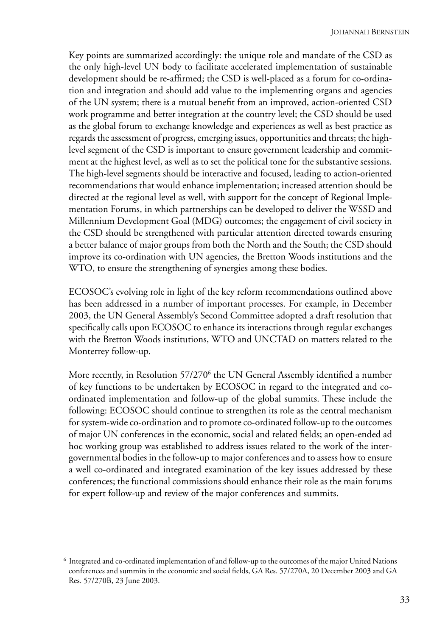Key points are summarized accordingly: the unique role and mandate of the CSD as the only high-level UN body to facilitate accelerated implementation of sustainable development should be re-affirmed; the CSD is well-placed as a forum for co-ordination and integration and should add value to the implementing organs and agencies of the UN system; there is a mutual benefit from an improved, action-oriented CSD work programme and better integration at the country level; the CSD should be used as the global forum to exchange knowledge and experiences as well as best practice as regards the assessment of progress, emerging issues, opportunities and threats; the highlevel segment of the CSD is important to ensure government leadership and commitment at the highest level, as well as to set the political tone for the substantive sessions. The high-level segments should be interactive and focused, leading to action-oriented recommendations that would enhance implementation; increased attention should be directed at the regional level as well, with support for the concept of Regional Implementation Forums, in which partnerships can be developed to deliver the WSSD and Millennium Development Goal (MDG) outcomes; the engagement of civil society in the CSD should be strengthened with particular attention directed towards ensuring a better balance of major groups from both the North and the South; the CSD should improve its co-ordination with UN agencies, the Bretton Woods institutions and the WTO, to ensure the strengthening of synergies among these bodies.

ECOSOC's evolving role in light of the key reform recommendations outlined above has been addressed in a number of important processes. For example, in December 2003, the UN General Assembly's Second Committee adopted a draft resolution that specifically calls upon ECOSOC to enhance its interactions through regular exchanges with the Bretton Woods institutions, WTO and UNCTAD on matters related to the Monterrey follow-up.

More recently, in Resolution 57/270<sup>6</sup> the UN General Assembly identified a number of key functions to be undertaken by ECOSOC in regard to the integrated and coordinated implementation and follow-up of the global summits. These include the following: ECOSOC should continue to strengthen its role as the central mechanism for system-wide co-ordination and to promote co-ordinated follow-up to the outcomes of major UN conferences in the economic, social and related fields; an open-ended ad hoc working group was established to address issues related to the work of the intergovernmental bodies in the follow-up to major conferences and to assess how to ensure a well co-ordinated and integrated examination of the key issues addressed by these conferences; the functional commissions should enhance their role as the main forums for expert follow-up and review of the major conferences and summits.

<sup>6</sup> Integrated and co-ordinated implementation of and follow-up to the outcomes of the major United Nations conferences and summits in the economic and social fields, GA Res. 57/270A, 20 December 2003 and GA Res. 57/270B, 23 June 2003.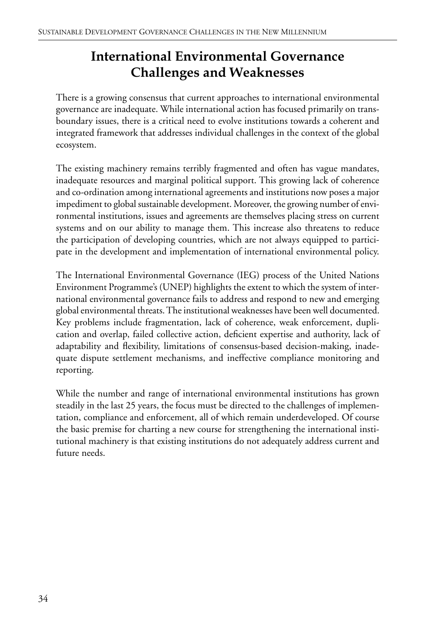# **International Environmental Governance Challenges and Weaknesses**

There is a growing consensus that current approaches to international environmental governance are inadequate. While international action has focused primarily on transboundary issues, there is a critical need to evolve institutions towards a coherent and integrated framework that addresses individual challenges in the context of the global ecosystem.

The existing machinery remains terribly fragmented and often has vague mandates, inadequate resources and marginal political support. This growing lack of coherence and co-ordination among international agreements and institutions now poses a major impediment to global sustainable development. Moreover, the growing number of environmental institutions, issues and agreements are themselves placing stress on current systems and on our ability to manage them. This increase also threatens to reduce the participation of developing countries, which are not always equipped to participate in the development and implementation of international environmental policy.

The International Environmental Governance (IEG) process of the United Nations Environment Programme's (UNEP) highlights the extent to which the system of international environmental governance fails to address and respond to new and emerging global environmental threats. The institutional weaknesses have been well documented. Key problems include fragmentation, lack of coherence, weak enforcement, duplication and overlap, failed collective action, deficient expertise and authority, lack of adaptability and flexibility, limitations of consensus-based decision-making, inadequate dispute settlement mechanisms, and ineffective compliance monitoring and reporting.

While the number and range of international environmental institutions has grown steadily in the last 25 years, the focus must be directed to the challenges of implementation, compliance and enforcement, all of which remain underdeveloped. Of course the basic premise for charting a new course for strengthening the international institutional machinery is that existing institutions do not adequately address current and future needs.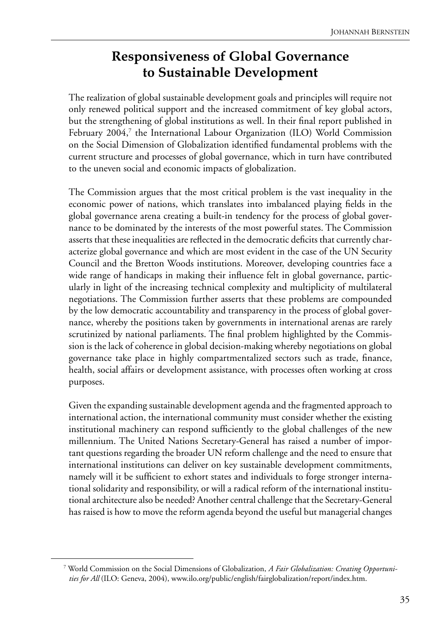# **Responsiveness of Global Governance to Sustainable Development**

The realization of global sustainable development goals and principles will require not only renewed political support and the increased commitment of key global actors, but the strengthening of global institutions as well. In their final report published in February 2004,<sup>7</sup> the International Labour Organization (ILO) World Commission on the Social Dimension of Globalization identified fundamental problems with the current structure and processes of global governance, which in turn have contributed to the uneven social and economic impacts of globalization.

The Commission argues that the most critical problem is the vast inequality in the economic power of nations, which translates into imbalanced playing fields in the global governance arena creating a built-in tendency for the process of global governance to be dominated by the interests of the most powerful states. The Commission asserts that these inequalities are reflected in the democratic deficits that currently characterize global governance and which are most evident in the case of the UN Security Council and the Bretton Woods institutions. Moreover, developing countries face a wide range of handicaps in making their influence felt in global governance, particularly in light of the increasing technical complexity and multiplicity of multilateral negotiations. The Commission further asserts that these problems are compounded by the low democratic accountability and transparency in the process of global governance, whereby the positions taken by governments in international arenas are rarely scrutinized by national parliaments. The final problem highlighted by the Commission is the lack of coherence in global decision-making whereby negotiations on global governance take place in highly compartmentalized sectors such as trade, finance, health, social affairs or development assistance, with processes often working at cross purposes.

Given the expanding sustainable development agenda and the fragmented approach to international action, the international community must consider whether the existing institutional machinery can respond sufficiently to the global challenges of the new millennium. The United Nations Secretary-General has raised a number of important questions regarding the broader UN reform challenge and the need to ensure that international institutions can deliver on key sustainable development commitments, namely will it be sufficient to exhort states and individuals to forge stronger international solidarity and responsibility, or will a radical reform of the international institutional architecture also be needed? Another central challenge that the Secretary-General has raised is how to move the reform agenda beyond the useful but managerial changes

<sup>7</sup> World Commission on the Social Dimensions of Globalization, *A Fair Globalization: Creating Opportunities for All* (ILO: Geneva, 2004), www.ilo.org/public/english/fairglobalization/report/index.htm.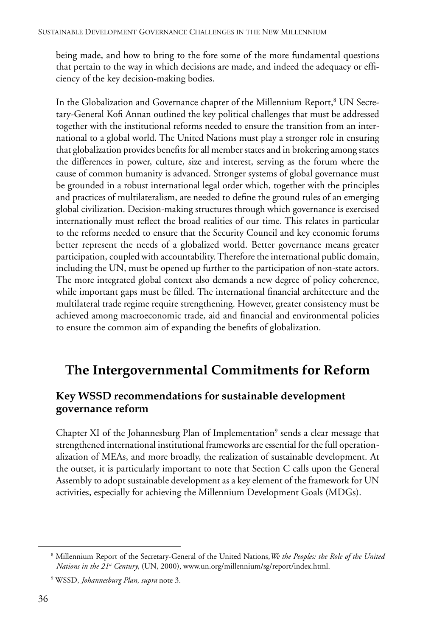being made, and how to bring to the fore some of the more fundamental questions that pertain to the way in which decisions are made, and indeed the adequacy or efficiency of the key decision-making bodies.

In the Globalization and Governance chapter of the Millennium Report,<sup>8</sup> UN Secretary-General Kofi Annan outlined the key political challenges that must be addressed together with the institutional reforms needed to ensure the transition from an international to a global world. The United Nations must play a stronger role in ensuring that globalization provides benefits for all member states and in brokering among states the differences in power, culture, size and interest, serving as the forum where the cause of common humanity is advanced. Stronger systems of global governance must be grounded in a robust international legal order which, together with the principles and practices of multilateralism, are needed to define the ground rules of an emerging global civilization. Decision-making structures through which governance is exercised internationally must reflect the broad realities of our time. This relates in particular to the reforms needed to ensure that the Security Council and key economic forums better represent the needs of a globalized world. Better governance means greater participation, coupled with accountability. Therefore the international public domain, including the UN, must be opened up further to the participation of non-state actors. The more integrated global context also demands a new degree of policy coherence, while important gaps must be filled. The international financial architecture and the multilateral trade regime require strengthening. However, greater consistency must be achieved among macroeconomic trade, aid and financial and environmental policies to ensure the common aim of expanding the benefits of globalization.

## **The Intergovernmental Commitments for Reform**

#### **Key WSSD recommendations for sustainable development governance reform**

Chapter XI of the Johannesburg Plan of Implementation<sup>9</sup> sends a clear message that strengthened international institutional frameworks are essential for the full operationalization of MEAs, and more broadly, the realization of sustainable development. At the outset, it is particularly important to note that Section C calls upon the General Assembly to adopt sustainable development as a key element of the framework for UN activities, especially for achieving the Millennium Development Goals (MDGs).

<sup>8</sup> Millennium Report of the Secretary-General of the United Nations,*We the Peoples: the Role of the United Nations in the 21<sup>st</sup> Century*, (UN, 2000), www.un.org/millennium/sg/report/index.html.

<sup>9</sup> WSSD, *Johannesburg Plan*, *supra* note 3.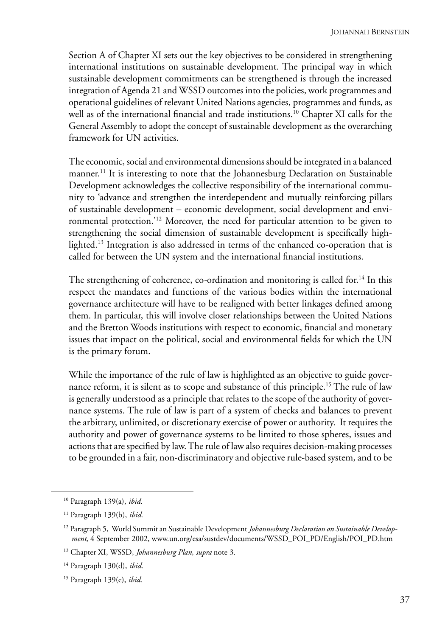Section A of Chapter XI sets out the key objectives to be considered in strengthening international institutions on sustainable development. The principal way in which sustainable development commitments can be strengthened is through the increased integration of Agenda 21 and WSSD outcomes into the policies, work programmes and operational guidelines of relevant United Nations agencies, programmes and funds, as well as of the international financial and trade institutions.<sup>10</sup> Chapter XI calls for the General Assembly to adopt the concept of sustainable development as the overarching framework for UN activities.

The economic, social and environmental dimensions should be integrated in a balanced manner.<sup>11</sup> It is interesting to note that the Johannesburg Declaration on Sustainable Development acknowledges the collective responsibility of the international community to 'advance and strengthen the interdependent and mutually reinforcing pillars of sustainable development – economic development, social development and environmental protection.'12 Moreover, the need for particular attention to be given to strengthening the social dimension of sustainable development is specifically highlighted.<sup>13</sup> Integration is also addressed in terms of the enhanced co-operation that is called for between the UN system and the international financial institutions.

The strengthening of coherence, co-ordination and monitoring is called for.<sup>14</sup> In this respect the mandates and functions of the various bodies within the international governance architecture will have to be realigned with better linkages defined among them. In particular, this will involve closer relationships between the United Nations and the Bretton Woods institutions with respect to economic, financial and monetary issues that impact on the political, social and environmental fields for which the UN is the primary forum.

While the importance of the rule of law is highlighted as an objective to guide governance reform, it is silent as to scope and substance of this principle.<sup>15</sup> The rule of law is generally understood as a principle that relates to the scope of the authority of governance systems. The rule of law is part of a system of checks and balances to prevent the arbitrary, unlimited, or discretionary exercise of power or authority. It requires the authority and power of governance systems to be limited to those spheres, issues and actions that are specified by law. The rule of law also requires decision-making processes to be grounded in a fair, non-discriminatory and objective rule-based system, and to be

<sup>10</sup> Paragraph 139(a), *ibid*.

<sup>11</sup> Paragraph 139(b), *ibid*.

<sup>12</sup> Paragraph 5, World Summit an Sustainable Development *Johannesburg Declaration on Sustainable Development*, 4 September 2002, www.un.org/esa/sustdev/documents/WSSD\_POI\_PD/English/POI\_PD.htm

<sup>13</sup> Chapter XI, WSSD, *Johannesburg Plan*, *supra* note 3.

<sup>14</sup> Paragraph 130(d), *ibid*.

<sup>15</sup> Paragraph 139(e), *ibid*.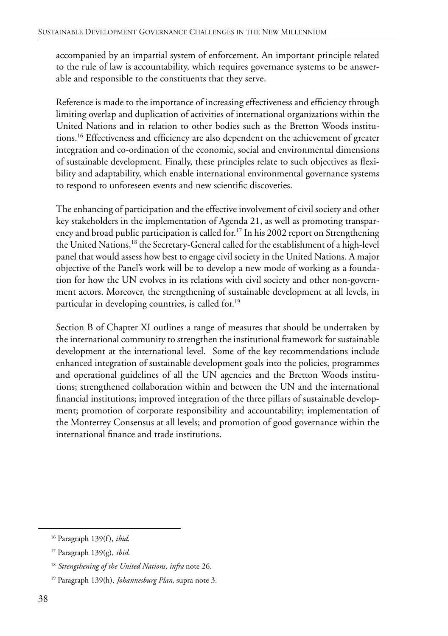accompanied by an impartial system of enforcement. An important principle related to the rule of law is accountability, which requires governance systems to be answerable and responsible to the constituents that they serve.

Reference is made to the importance of increasing effectiveness and efficiency through limiting overlap and duplication of activities of international organizations within the United Nations and in relation to other bodies such as the Bretton Woods institutions.16 Effectiveness and efficiency are also dependent on the achievement of greater integration and co-ordination of the economic, social and environmental dimensions of sustainable development. Finally, these principles relate to such objectives as flexibility and adaptability, which enable international environmental governance systems to respond to unforeseen events and new scientific discoveries.

The enhancing of participation and the effective involvement of civil society and other key stakeholders in the implementation of Agenda 21, as well as promoting transparency and broad public participation is called for.<sup>17</sup> In his 2002 report on Strengthening the United Nations,<sup>18</sup> the Secretary-General called for the establishment of a high-level panel that would assess how best to engage civil society in the United Nations. A major objective of the Panel's work will be to develop a new mode of working as a foundation for how the UN evolves in its relations with civil society and other non-government actors. Moreover, the strengthening of sustainable development at all levels, in particular in developing countries, is called for.<sup>19</sup>

Section B of Chapter XI outlines a range of measures that should be undertaken by the international community to strengthen the institutional framework for sustainable development at the international level. Some of the key recommendations include enhanced integration of sustainable development goals into the policies, programmes and operational guidelines of all the UN agencies and the Bretton Woods institutions; strengthened collaboration within and between the UN and the international financial institutions; improved integration of the three pillars of sustainable development; promotion of corporate responsibility and accountability; implementation of the Monterrey Consensus at all levels; and promotion of good governance within the international finance and trade institutions.

<sup>16</sup> Paragraph 139(f), *ibid*.

<sup>17</sup> Paragraph 139(g), *ibid*.

<sup>18</sup> *Strengthening of the United Nations*, *infra* note 26.

<sup>19</sup> Paragraph 139(h), *Johannesburg Plan*, supra note 3.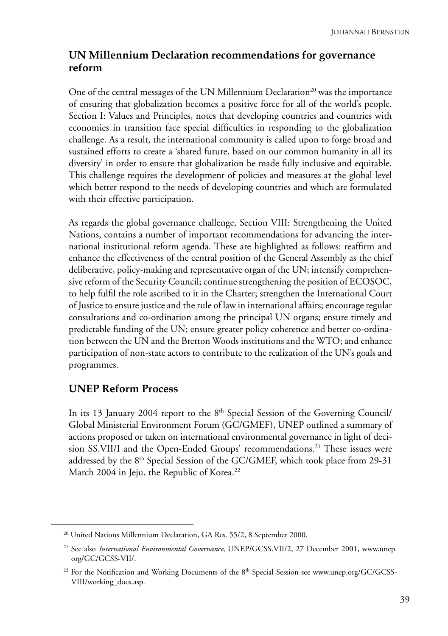#### **UN Millennium Declaration recommendations for governance reform**

One of the central messages of the UN Millennium Declaration<sup>20</sup> was the importance of ensuring that globalization becomes a positive force for all of the world's people. Section I: Values and Principles, notes that developing countries and countries with economies in transition face special difficulties in responding to the globalization challenge. As a result, the international community is called upon to forge broad and sustained efforts to create a 'shared future, based on our common humanity in all its diversity' in order to ensure that globalization be made fully inclusive and equitable. This challenge requires the development of policies and measures at the global level which better respond to the needs of developing countries and which are formulated with their effective participation.

As regards the global governance challenge, Section VIII: Strengthening the United Nations, contains a number of important recommendations for advancing the international institutional reform agenda. These are highlighted as follows: reaffirm and enhance the effectiveness of the central position of the General Assembly as the chief deliberative, policy-making and representative organ of the UN; intensify comprehensive reform of the Security Council; continue strengthening the position of ECOSOC, to help fulfil the role ascribed to it in the Charter; strengthen the International Court of Justice to ensure justice and the rule of law in international affairs; encourage regular consultations and co-ordination among the principal UN organs; ensure timely and predictable funding of the UN; ensure greater policy coherence and better co-ordination between the UN and the Bretton Woods institutions and the WTO; and enhance participation of non-state actors to contribute to the realization of the UN's goals and programmes.

#### **UNEP Reform Process**

In its 13 January 2004 report to the  $8<sup>th</sup>$  Special Session of the Governing Council/ Global Ministerial Environment Forum (GC/GMEF), UNEP outlined a summary of actions proposed or taken on international environmental governance in light of decision SS.VII/I and the Open-Ended Groups' recommendations.<sup>21</sup> These issues were addressed by the 8<sup>th</sup> Special Session of the GC/GMEF, which took place from 29-31 March 2004 in Jeju, the Republic of Korea.<sup>22</sup>

<sup>&</sup>lt;sup>20</sup> United Nations Millennium Declaration, GA Res. 55/2, 8 September 2000.

<sup>21</sup> See also *International Environmental Governance*, UNEP/GCSS.VII/2, 27 December 2001, www.unep. org/GC/GCSS-VII/.

<sup>&</sup>lt;sup>22</sup> For the Notification and Working Documents of the 8<sup>th</sup> Special Session see www.unep.org/GC/GCSS-VIII/working\_docs.asp.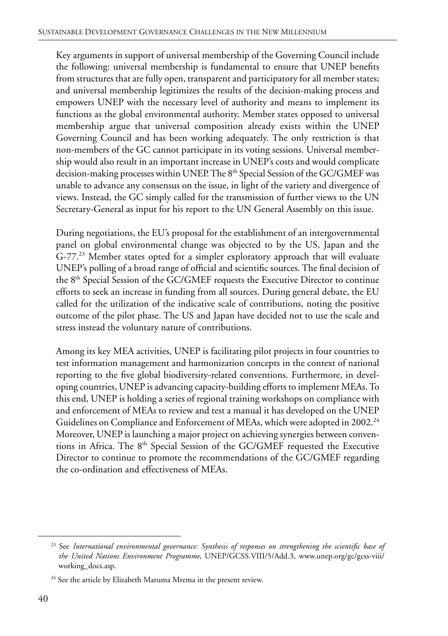Key arguments in support of universal membership of the Governing Council include the following: universal membership is fundamental to ensure that UNEP benefits from structures that are fully open, transparent and participatory for all member states; and universal membership legitimizes the results of the decision-making process and empowers UNEP with the necessary level of authority and means to implement its functions as the global environmental authority. Member states opposed to universal membership argue that universal composition already exists within the UNEP Governing Council and has been working adequately. The only restriction is that non-members of the GC cannot participate in its voting sessions. Universal membership would also result in an important increase in UNEP's costs and would complicate decision-making processes within UNEP. The 8<sup>th</sup> Special Session of the GC/GMEF was unable to advance any consensus on the issue, in light of the variety and divergence of views. Instead, the GC simply called for the transmission of further views to the UN Secretary-General as input for his report to the UN General Assembly on this issue.

During negotiations, the EU's proposal for the establishment of an intergovernmental panel on global environmental change was objected to by the US, Japan and the G-77.<sup>23</sup> Member states opted for a simpler exploratory approach that will evaluate UNEP's polling of a broad range of official and scientific sources. The final decision of the 8<sup>th</sup> Special Session of the GC/GMEF requests the Executive Director to continue efforts to seek an increase in funding from all sources. During general debate, the EU called for the utilization of the indicative scale of contributions, noting the positive outcome of the pilot phase. The US and Japan have decided not to use the scale and stress instead the voluntary nature of contributions.

Among its key MEA activities, UNEP is facilitating pilot projects in four countries to test information management and harmonization concepts in the context of national reporting to the five global biodiversity-related conventions. Furthermore, in developing countries, UNEP is advancing capacity-building efforts to implement MEAs. To this end, UNEP is holding a series of regional training workshops on compliance with and enforcement of MEAs to review and test a manual it has developed on the UNEP Guidelines on Compliance and Enforcement of MEAs, which were adopted in 2002.<sup>24</sup> Moreover, UNEP is launching a major project on achieving synergies between conventions in Africa. The  $8<sup>th</sup>$  Special Session of the GC/GMEF requested the Executive Director to continue to promote the recommendations of the GC/GMEF regarding the co-ordination and effectiveness of MEAs.

<sup>23</sup> See *International environmental governance: Synthesis of responses on strengthening the scientific base of the United Nations Environment Programme*, UNEP/GCSS.VIII/5/Add.3, www.unep.org/gc/gcss-viii/ working\_docs.asp.

<sup>&</sup>lt;sup>24</sup> See the article by Elizabeth Maruma Mrema in the present review.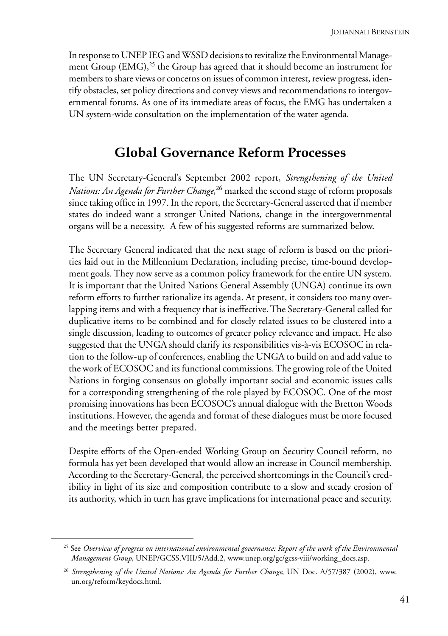In response to UNEP IEG and WSSD decisions to revitalize the Environmental Management Group (EMG),<sup>25</sup> the Group has agreed that it should become an instrument for members to share views or concerns on issues of common interest, review progress, identify obstacles, set policy directions and convey views and recommendations to intergovernmental forums. As one of its immediate areas of focus, the EMG has undertaken a UN system-wide consultation on the implementation of the water agenda.

## **Global Governance Reform Processes**

The UN Secretary-General's September 2002 report, *Strengthening of the United Nations: An Agenda for Further Change*, 26 marked the second stage of reform proposals since taking office in 1997. In the report, the Secretary-General asserted that if member states do indeed want a stronger United Nations, change in the intergovernmental organs will be a necessity. A few of his suggested reforms are summarized below.

The Secretary General indicated that the next stage of reform is based on the priorities laid out in the Millennium Declaration, including precise, time-bound development goals. They now serve as a common policy framework for the entire UN system. It is important that the United Nations General Assembly (UNGA) continue its own reform efforts to further rationalize its agenda. At present, it considers too many overlapping items and with a frequency that is ineffective. The Secretary-General called for duplicative items to be combined and for closely related issues to be clustered into a single discussion, leading to outcomes of greater policy relevance and impact. He also suggested that the UNGA should clarify its responsibilities vis-à-vis ECOSOC in relation to the follow-up of conferences, enabling the UNGA to build on and add value to the work of ECOSOC and its functional commissions. The growing role of the United Nations in forging consensus on globally important social and economic issues calls for a corresponding strengthening of the role played by ECOSOC. One of the most promising innovations has been ECOSOC's annual dialogue with the Bretton Woods institutions. However, the agenda and format of these dialogues must be more focused and the meetings better prepared.

Despite efforts of the Open-ended Working Group on Security Council reform, no formula has yet been developed that would allow an increase in Council membership. According to the Secretary-General, the perceived shortcomings in the Council's credibility in light of its size and composition contribute to a slow and steady erosion of its authority, which in turn has grave implications for international peace and security.

<sup>25</sup> See *Overview of progress on international environmental governance: Report of the work of the Environmental Management Group*, UNEP/GCSS.VIII/5/Add.2, www.unep.org/gc/gcss-viii/working\_docs.asp.

<sup>&</sup>lt;sup>26</sup> Strengthening of the United Nations: An Agenda for Further Change, UN Doc. A/57/387 (2002), www. un.org/reform/keydocs.html.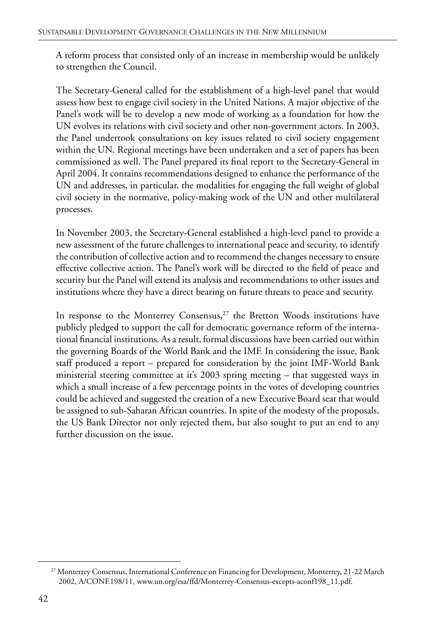A reform process that consisted only of an increase in membership would be unlikely to strengthen the Council.

The Secretary-General called for the establishment of a high-level panel that would assess how best to engage civil society in the United Nations. A major objective of the Panel's work will be to develop a new mode of working as a foundation for how the UN evolves its relations with civil society and other non-government actors. In 2003, the Panel undertook consultations on key issues related to civil society engagement within the UN. Regional meetings have been undertaken and a set of papers has been commissioned as well. The Panel prepared its final report to the Secretary-General in April 2004. It contains recommendations designed to enhance the performance of the UN and addresses, in particular, the modalities for engaging the full weight of global civil society in the normative, policy-making work of the UN and other multilateral processes.

In November 2003, the Secretary-General established a high-level panel to provide a new assessment of the future challenges to international peace and security, to identify the contribution of collective action and to recommend the changes necessary to ensure effective collective action. The Panel's work will be directed to the field of peace and security but the Panel will extend its analysis and recommendations to other issues and institutions where they have a direct bearing on future threats to peace and security.

In response to the Monterrey Consensus,<sup>27</sup> the Bretton Woods institutions have publicly pledged to support the call for democratic governance reform of the international financial institutions. As a result, formal discussions have been carried out within the governing Boards of the World Bank and the IMF. In considering the issue, Bank staff produced a report – prepared for consideration by the joint IMF-World Bank ministerial steering committee at it's 2003 spring meeting – that suggested ways in which a small increase of a few percentage points in the votes of developing countries could be achieved and suggested the creation of a new Executive Board seat that would be assigned to sub-Saharan African countries. In spite of the modesty of the proposals, the US Bank Director not only rejected them, but also sought to put an end to any further discussion on the issue.

<sup>27</sup> Monterrey Consensus, International Conference on Financing for Development, Monterrey, 21-22 March 2002, A/CONF.198/11, www.un.org/esa/ffd/Monterrey-Consensus-excepts-aconf198\_11.pdf.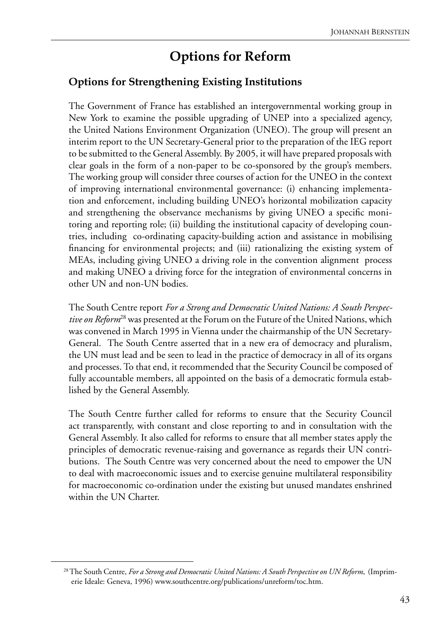# **Options for Reform**

#### **Options for Strengthening Existing Institutions**

The Government of France has established an intergovernmental working group in New York to examine the possible upgrading of UNEP into a specialized agency, the United Nations Environment Organization (UNEO). The group will present an interim report to the UN Secretary-General prior to the preparation of the IEG report to be submitted to the General Assembly. By 2005, it will have prepared proposals with clear goals in the form of a non-paper to be co-sponsored by the group's members. The working group will consider three courses of action for the UNEO in the context of improving international environmental governance: (i) enhancing implementation and enforcement, including building UNEO's horizontal mobilization capacity and strengthening the observance mechanisms by giving UNEO a specific monitoring and reporting role; (ii) building the institutional capacity of developing countries, including co-ordinating capacity-building action and assistance in mobilising financing for environmental projects; and (iii) rationalizing the existing system of MEAs, including giving UNEO a driving role in the convention alignment process and making UNEO a driving force for the integration of environmental concerns in other UN and non-UN bodies.

The South Centre report *For a Strong and Democratic United Nations: A South Perspective on Reform*28 was presented at the Forum on the Future of the United Nations, which was convened in March 1995 in Vienna under the chairmanship of the UN Secretary-General.The South Centre asserted that in a new era of democracy and pluralism, the UN must lead and be seen to lead in the practice of democracy in all of its organs and processes. To that end, it recommended that the Security Council be composed of fully accountable members, all appointed on the basis of a democratic formula established by the General Assembly.

The South Centre further called for reforms to ensure that the Security Council act transparently, with constant and close reporting to and in consultation with the General Assembly. It also called for reforms to ensure that all member states apply the principles of democratic revenue-raising and governance as regards their UN contributions.The South Centre was very concerned about the need to empower the UN to deal with macroeconomic issues and to exercise genuine multilateral responsibility for macroeconomic co-ordination under the existing but unused mandates enshrined within the UN Charter.

<sup>28</sup> The South Centre, *For a Strong and Democratic United Nations: A South Perspective on UN Reform*, (Imprimerie Ideale: Geneva, 1996) www.southcentre.org/publications/unreform/toc.htm.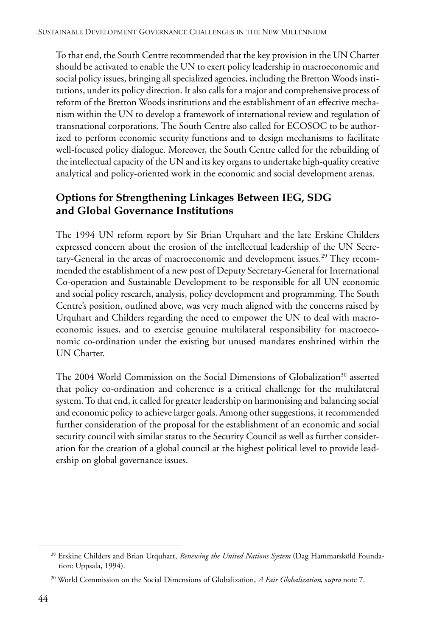To that end, the South Centre recommended that the key provision in the UN Charter should be activated to enable the UN to exert policy leadership in macroeconomic and social policy issues, bringing all specialized agencies, including the Bretton Woods institutions, under its policy direction. It also calls for a major and comprehensive process of reform of the Bretton Woods institutions and the establishment of an effective mechanism within the UN to develop a framework of international review and regulation of transnational corporations. The South Centre also called for ECOSOC to be authorized to perform economic security functions and to design mechanisms to facilitate well-focused policy dialogue. Moreover, the South Centre called for the rebuilding of the intellectual capacity of the UN and its key organs to undertake high-quality creative analytical and policy-oriented work in the economic and social development arenas.

#### **Options for Strengthening Linkages Between IEG, SDG and Global Governance Institutions**

The 1994 UN reform report by Sir Brian Urquhart and the late Erskine Childers expressed concern about the erosion of the intellectual leadership of the UN Secretary-General in the areas of macroeconomic and development issues.<sup>29</sup> They recommended the establishment of a new post of Deputy Secretary-General for International Co-operation and Sustainable Development to be responsible for all UN economic and social policy research, analysis, policy development and programming. The South Centre's position, outlined above, was very much aligned with the concerns raised by Urquhart and Childers regarding the need to empower the UN to deal with macroeconomic issues, and to exercise genuine multilateral responsibility for macroeconomic co-ordination under the existing but unused mandates enshrined within the UN Charter.

The 2004 World Commission on the Social Dimensions of Globalization<sup>30</sup> asserted that policy co-ordination and coherence is a critical challenge for the multilateral system. To that end, it called for greater leadership on harmonising and balancing social and economic policy to achieve larger goals. Among other suggestions, it recommended further consideration of the proposal for the establishment of an economic and social security council with similar status to the Security Council as well as further consideration for the creation of a global council at the highest political level to provide leadership on global governance issues.

<sup>29</sup> Erskine Childers and Brian Urquhart, *Renewing the United Nations System* (Dag Hammarsköld Foundation: Uppsala, 1994).

<sup>30</sup> World Commission on the Social Dimensions of Globalization, *A Fair Globalization*, s*upra* note 7.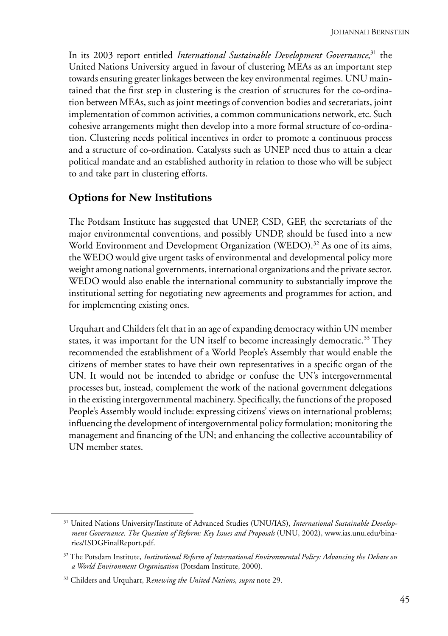In its 2003 report entitled *International Sustainable Development Governance*, 31 the United Nations University argued in favour of clustering MEAs as an important step towards ensuring greater linkages between the key environmental regimes. UNU maintained that the first step in clustering is the creation of structures for the co-ordination between MEAs, such as joint meetings of convention bodies and secretariats, joint implementation of common activities, a common communications network, etc. Such cohesive arrangements might then develop into a more formal structure of co-ordination. Clustering needs political incentives in order to promote a continuous process and a structure of co-ordination. Catalysts such as UNEP need thus to attain a clear political mandate and an established authority in relation to those who will be subject to and take part in clustering efforts.

#### **Options for New Institutions**

The Potdsam Institute has suggested that UNEP, CSD, GEF, the secretariats of the major environmental conventions, and possibly UNDP, should be fused into a new World Environment and Development Organization (WEDO).<sup>32</sup> As one of its aims, the WEDO would give urgent tasks of environmental and developmental policy more weight among national governments, international organizations and the private sector. WEDO would also enable the international community to substantially improve the institutional setting for negotiating new agreements and programmes for action, and for implementing existing ones.

Urquhart and Childers felt that in an age of expanding democracy within UN member states, it was important for the UN itself to become increasingly democratic.<sup>33</sup> They recommended the establishment of a World People's Assembly that would enable the citizens of member states to have their own representatives in a specific organ of the UN. It would not be intended to abridge or confuse the UN's intergovernmental processes but, instead, complement the work of the national government delegations in the existing intergovernmental machinery. Specifically, the functions of the proposed People's Assembly would include: expressing citizens' views on international problems; influencing the development of intergovernmental policy formulation; monitoring the management and financing of the UN; and enhancing the collective accountability of UN member states.

<sup>31</sup> United Nations University/Institute of Advanced Studies (UNU/IAS), *International Sustainable Development Governance. The Question of Reform: Key Issues and Proposals* (UNU, 2002), www.ias.unu.edu/binaries/ISDGFinalReport.pdf.

<sup>32</sup> The Potsdam Institute, *Institutional Reform of International Environmental Policy: Advancing the Debate on a World Environment Organization* (Potsdam Institute, 2000).

<sup>33</sup> Childers and Urquhart, R*enewing the United Nations*, *supra* note 29.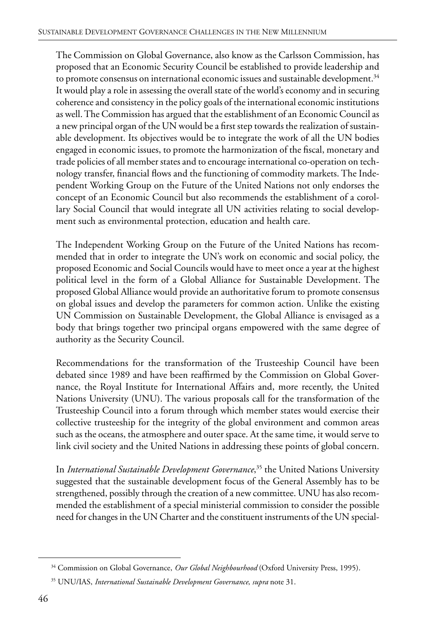The Commission on Global Governance, also know as the Carlsson Commission, has proposed that an Economic Security Council be established to provide leadership and to promote consensus on international economic issues and sustainable development.<sup>34</sup> It would play a role in assessing the overall state of the world's economy and in securing coherence and consistency in the policy goals of the international economic institutions as well. The Commission has argued that the establishment of an Economic Council as a new principal organ of the UN would be a first step towards the realization of sustainable development. Its objectives would be to integrate the work of all the UN bodies engaged in economic issues, to promote the harmonization of the fiscal, monetary and trade policies of all member states and to encourage international co-operation on technology transfer, financial flows and the functioning of commodity markets. The Independent Working Group on the Future of the United Nations not only endorses the concept of an Economic Council but also recommends the establishment of a corollary Social Council that would integrate all UN activities relating to social development such as environmental protection, education and health care.

The Independent Working Group on the Future of the United Nations has recommended that in order to integrate the UN's work on economic and social policy, the proposed Economic and Social Councils would have to meet once a year at the highest political level in the form of a Global Alliance for Sustainable Development. The proposed Global Alliance would provide an authoritative forum to promote consensus on global issues and develop the parameters for common action. Unlike the existing UN Commission on Sustainable Development, the Global Alliance is envisaged as a body that brings together two principal organs empowered with the same degree of authority as the Security Council.

Recommendations for the transformation of the Trusteeship Council have been debated since 1989 and have been reaffirmed by the Commission on Global Governance, the Royal Institute for International Affairs and, more recently, the United Nations University (UNU). The various proposals call for the transformation of the Trusteeship Council into a forum through which member states would exercise their collective trusteeship for the integrity of the global environment and common areas such as the oceans, the atmosphere and outer space. At the same time, it would serve to link civil society and the United Nations in addressing these points of global concern.

In *International Sustainable Development Governance*, 35 the United Nations University suggested that the sustainable development focus of the General Assembly has to be strengthened, possibly through the creation of a new committee. UNU has also recommended the establishment of a special ministerial commission to consider the possible need for changes in the UN Charter and the constituent instruments of the UN special-

<sup>34</sup> Commission on Global Governance, *Our Global Neighbourhood* (Oxford University Press, 1995).

<sup>35</sup> UNU/IAS, *International Sustainable Development Governance*, *supra* note 31.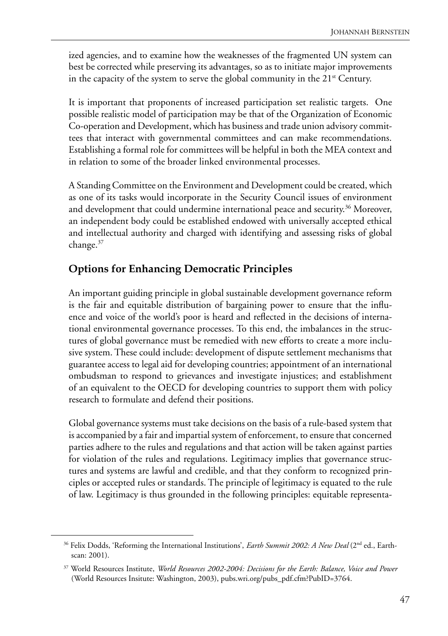ized agencies, and to examine how the weaknesses of the fragmented UN system can best be corrected while preserving its advantages, so as to initiate major improvements in the capacity of the system to serve the global community in the  $21<sup>st</sup>$  Century.

It is important that proponents of increased participation set realistic targets. One possible realistic model of participation may be that of the Organization of Economic Co-operation and Development, which has business and trade union advisory committees that interact with governmental committees and can make recommendations. Establishing a formal role for committees will be helpful in both the MEA context and in relation to some of the broader linked environmental processes.

A Standing Committee on the Environment and Development could be created, which as one of its tasks would incorporate in the Security Council issues of environment and development that could undermine international peace and security.<sup>36</sup> Moreover, an independent body could be established endowed with universally accepted ethical and intellectual authority and charged with identifying and assessing risks of global change.37

#### **Options for Enhancing Democratic Principles**

An important guiding principle in global sustainable development governance reform is the fair and equitable distribution of bargaining power to ensure that the influence and voice of the world's poor is heard and reflected in the decisions of international environmental governance processes. To this end, the imbalances in the structures of global governance must be remedied with new efforts to create a more inclusive system. These could include: development of dispute settlement mechanisms that guarantee access to legal aid for developing countries; appointment of an international ombudsman to respond to grievances and investigate injustices; and establishment of an equivalent to the OECD for developing countries to support them with policy research to formulate and defend their positions.

Global governance systems must take decisions on the basis of a rule-based system that is accompanied by a fair and impartial system of enforcement, to ensure that concerned parties adhere to the rules and regulations and that action will be taken against parties for violation of the rules and regulations. Legitimacy implies that governance structures and systems are lawful and credible, and that they conform to recognized principles or accepted rules or standards. The principle of legitimacy is equated to the rule of law. Legitimacy is thus grounded in the following principles: equitable representa-

<sup>&</sup>lt;sup>36</sup> Felix Dodds, 'Reforming the International Institutions', *Earth Summit 2002: A New Deal* (2<sup>nd</sup> ed., Earthscan: 2001).

<sup>37</sup> World Resources Institute, *World Resources 2002-2004: Decisions for the Earth: Balance, Voice and Power* (World Resources Insitute: Washington, 2003), pubs.wri.org/pubs\_pdf.cfm?PubID=3764.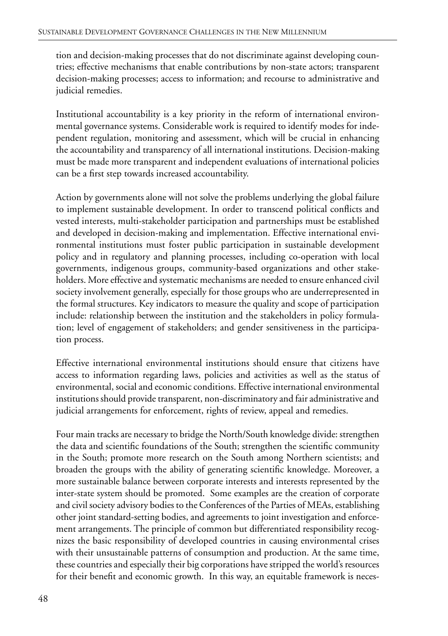tion and decision-making processes that do not discriminate against developing countries; effective mechanisms that enable contributions by non-state actors; transparent decision-making processes; access to information; and recourse to administrative and judicial remedies.

Institutional accountability is a key priority in the reform of international environmental governance systems. Considerable work is required to identify modes for independent regulation, monitoring and assessment, which will be crucial in enhancing the accountability and transparency of all international institutions. Decision-making must be made more transparent and independent evaluations of international policies can be a first step towards increased accountability.

Action by governments alone will not solve the problems underlying the global failure to implement sustainable development. In order to transcend political conflicts and vested interests, multi-stakeholder participation and partnerships must be established and developed in decision-making and implementation. Effective international environmental institutions must foster public participation in sustainable development policy and in regulatory and planning processes, including co-operation with local governments, indigenous groups, community-based organizations and other stakeholders. More effective and systematic mechanisms are needed to ensure enhanced civil society involvement generally, especially for those groups who are underrepresented in the formal structures. Key indicators to measure the quality and scope of participation include: relationship between the institution and the stakeholders in policy formulation; level of engagement of stakeholders; and gender sensitiveness in the participation process.

Effective international environmental institutions should ensure that citizens have access to information regarding laws, policies and activities as well as the status of environmental, social and economic conditions. Effective international environmental institutions should provide transparent, non-discriminatory and fair administrative and judicial arrangements for enforcement, rights of review, appeal and remedies.

Four main tracks are necessary to bridge the North/South knowledge divide: strengthen the data and scientific foundations of the South; strengthen the scientific community in the South; promote more research on the South among Northern scientists; and broaden the groups with the ability of generating scientific knowledge. Moreover, a more sustainable balance between corporate interests and interests represented by the inter-state system should be promoted. Some examples are the creation of corporate and civil society advisory bodies to the Conferences of the Parties of MEAs, establishing other joint standard-setting bodies, and agreements to joint investigation and enforcement arrangements. The principle of common but differentiated responsibility recognizes the basic responsibility of developed countries in causing environmental crises with their unsustainable patterns of consumption and production. At the same time, these countries and especially their big corporations have stripped the world's resources for their benefit and economic growth. In this way, an equitable framework is neces